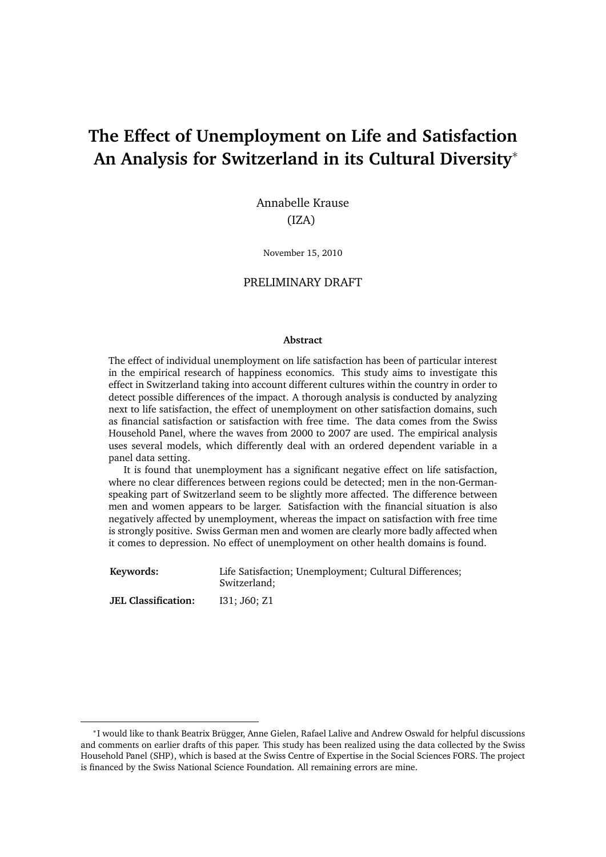# **The Effect of Unemployment on Life and Satisfaction An Analysis for Switzerland in its Cultural Diversity**<sup>∗</sup>

Annabelle Krause (IZA)

November 15, 2010

#### PRELIMINARY DRAFT

#### **Abstract**

The effect of individual unemployment on life satisfaction has been of particular interest in the empirical research of happiness economics. This study aims to investigate this effect in Switzerland taking into account different cultures within the country in order to detect possible differences of the impact. A thorough analysis is conducted by analyzing next to life satisfaction, the effect of unemployment on other satisfaction domains, such as financial satisfaction or satisfaction with free time. The data comes from the Swiss Household Panel, where the waves from 2000 to 2007 are used. The empirical analysis uses several models, which differently deal with an ordered dependent variable in a panel data setting.

It is found that unemployment has a significant negative effect on life satisfaction, where no clear differences between regions could be detected; men in the non-Germanspeaking part of Switzerland seem to be slightly more affected. The difference between men and women appears to be larger. Satisfaction with the financial situation is also negatively affected by unemployment, whereas the impact on satisfaction with free time is strongly positive. Swiss German men and women are clearly more badly affected when it comes to depression. No effect of unemployment on other health domains is found.

| Keywords:                  | Life Satisfaction; Unemployment; Cultural Differences;<br>Switzerland: |
|----------------------------|------------------------------------------------------------------------|
| <b>JEL Classification:</b> | I31: J60: Z1                                                           |

<sup>∗</sup> I would like to thank Beatrix Brügger, Anne Gielen, Rafael Lalive and Andrew Oswald for helpful discussions and comments on earlier drafts of this paper. This study has been realized using the data collected by the Swiss Household Panel (SHP), which is based at the Swiss Centre of Expertise in the Social Sciences FORS. The project is financed by the Swiss National Science Foundation. All remaining errors are mine.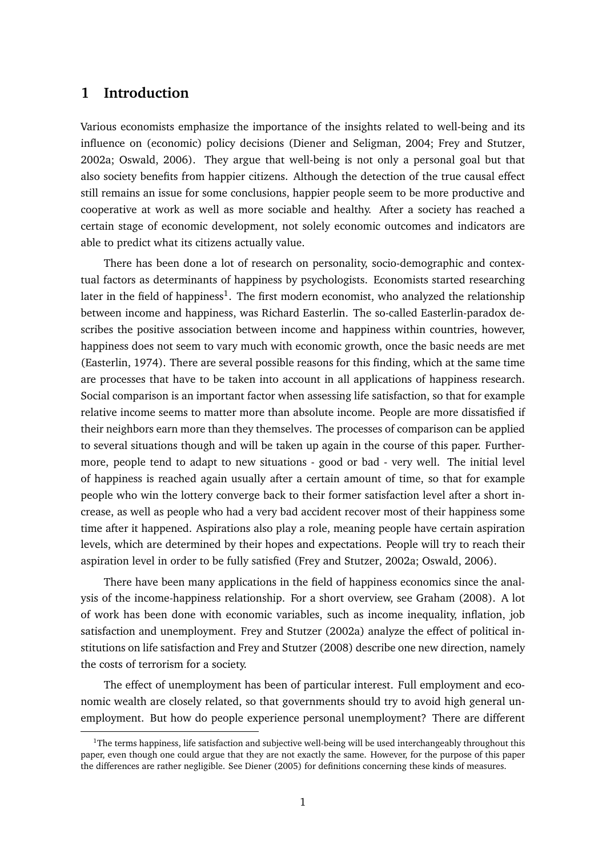# **1 Introduction**

Various economists emphasize the importance of the insights related to well-being and its influence on (economic) policy decisions (Diener and Seligman, 2004; Frey and Stutzer, 2002a; Oswald, 2006). They argue that well-being is not only a personal goal but that also society benefits from happier citizens. Although the detection of the true causal effect still remains an issue for some conclusions, happier people seem to be more productive and cooperative at work as well as more sociable and healthy. After a society has reached a certain stage of economic development, not solely economic outcomes and indicators are able to predict what its citizens actually value.

There has been done a lot of research on personality, socio-demographic and contextual factors as determinants of happiness by psychologists. Economists started researching later in the field of happiness<sup>1</sup>. The first modern economist, who analyzed the relationship between income and happiness, was Richard Easterlin. The so-called Easterlin-paradox describes the positive association between income and happiness within countries, however, happiness does not seem to vary much with economic growth, once the basic needs are met (Easterlin, 1974). There are several possible reasons for this finding, which at the same time are processes that have to be taken into account in all applications of happiness research. Social comparison is an important factor when assessing life satisfaction, so that for example relative income seems to matter more than absolute income. People are more dissatisfied if their neighbors earn more than they themselves. The processes of comparison can be applied to several situations though and will be taken up again in the course of this paper. Furthermore, people tend to adapt to new situations - good or bad - very well. The initial level of happiness is reached again usually after a certain amount of time, so that for example people who win the lottery converge back to their former satisfaction level after a short increase, as well as people who had a very bad accident recover most of their happiness some time after it happened. Aspirations also play a role, meaning people have certain aspiration levels, which are determined by their hopes and expectations. People will try to reach their aspiration level in order to be fully satisfied (Frey and Stutzer, 2002a; Oswald, 2006).

There have been many applications in the field of happiness economics since the analysis of the income-happiness relationship. For a short overview, see Graham (2008). A lot of work has been done with economic variables, such as income inequality, inflation, job satisfaction and unemployment. Frey and Stutzer (2002a) analyze the effect of political institutions on life satisfaction and Frey and Stutzer (2008) describe one new direction, namely the costs of terrorism for a society.

The effect of unemployment has been of particular interest. Full employment and economic wealth are closely related, so that governments should try to avoid high general unemployment. But how do people experience personal unemployment? There are different

 $1$ The terms happiness, life satisfaction and subjective well-being will be used interchangeably throughout this paper, even though one could argue that they are not exactly the same. However, for the purpose of this paper the differences are rather negligible. See Diener (2005) for definitions concerning these kinds of measures.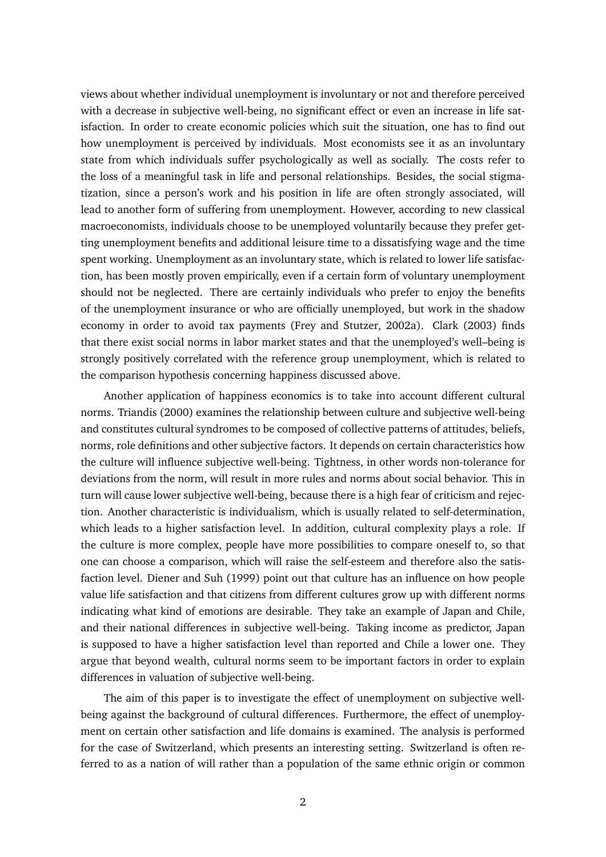views about whether individual unemployment is involuntary or not and therefore perceived with a decrease in subjective well-being, no significant effect or even an increase in life satisfaction. In order to create economic policies which suit the situation, one has to find out how unemployment is perceived by individuals. Most economists see it as an involuntary state from which individuals suffer psychologically as well as socially. The costs refer to the loss of a meaningful task in life and personal relationships. Besides, the social stigmatization, since a person's work and his position in life are often strongly associated, will lead to another form of suffering from unemployment. However, according to new classical macroeconomists, individuals choose to be unemployed voluntarily because they prefer getting unemployment benefits and additional leisure time to a dissatisfying wage and the time spent working. Unemployment as an involuntary state, which is related to lower life satisfaction, has been mostly proven empirically, even if a certain form of voluntary unemployment should not be neglected. There are certainly individuals who prefer to enjoy the benefits of the unemployment insurance or who are officially unemployed, but work in the shadow economy in order to avoid tax payments (Frey and Stutzer, 2002a). Clark (2003) finds that there exist social norms in labor market states and that the unemployed's well–being is strongly positively correlated with the reference group unemployment, which is related to the comparison hypothesis concerning happiness discussed above.

Another application of happiness economics is to take into account different cultural norms. Triandis (2000) examines the relationship between culture and subjective well-being and constitutes cultural syndromes to be composed of collective patterns of attitudes, beliefs, norms, role definitions and other subjective factors. It depends on certain characteristics how the culture will influence subjective well-being. Tightness, in other words non-tolerance for deviations from the norm, will result in more rules and norms about social behavior. This in turn will cause lower subjective well-being, because there is a high fear of criticism and rejection. Another characteristic is individualism, which is usually related to self-determination, which leads to a higher satisfaction level. In addition, cultural complexity plays a role. If the culture is more complex, people have more possibilities to compare oneself to, so that one can choose a comparison, which will raise the self-esteem and therefore also the satisfaction level. Diener and Suh (1999) point out that culture has an influence on how people value life satisfaction and that citizens from different cultures grow up with different norms indicating what kind of emotions are desirable. They take an example of Japan and Chile, and their national differences in subjective well-being. Taking income as predictor, Japan is supposed to have a higher satisfaction level than reported and Chile a lower one. They argue that beyond wealth, cultural norms seem to be important factors in order to explain differences in valuation of subjective well-being.

The aim of this paper is to investigate the effect of unemployment on subjective wellbeing against the background of cultural differences. Furthermore, the effect of unemployment on certain other satisfaction and life domains is examined. The analysis is performed for the case of Switzerland, which presents an interesting setting. Switzerland is often referred to as a nation of will rather than a population of the same ethnic origin or common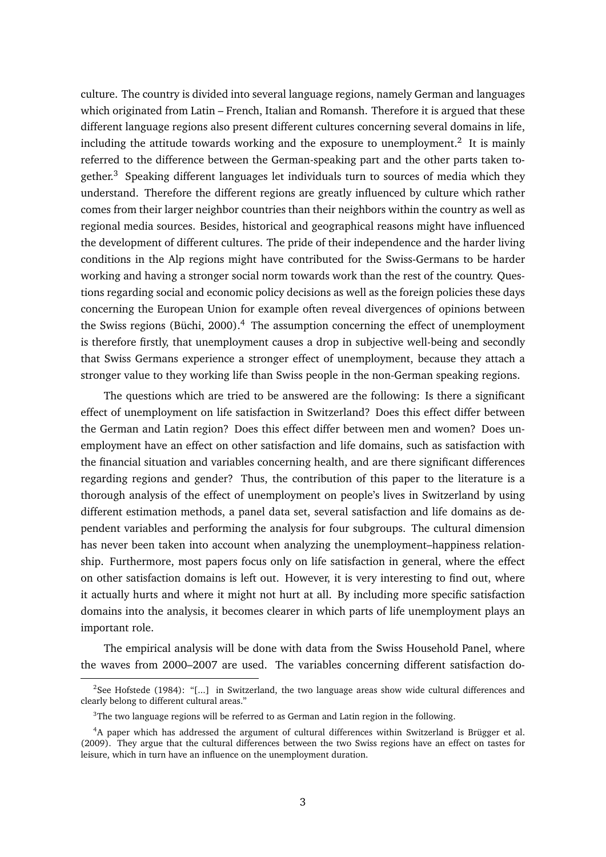culture. The country is divided into several language regions, namely German and languages which originated from Latin – French, Italian and Romansh. Therefore it is argued that these different language regions also present different cultures concerning several domains in life, including the attitude towards working and the exposure to unemployment.<sup>2</sup> It is mainly referred to the difference between the German-speaking part and the other parts taken together.<sup>3</sup> Speaking different languages let individuals turn to sources of media which they understand. Therefore the different regions are greatly influenced by culture which rather comes from their larger neighbor countries than their neighbors within the country as well as regional media sources. Besides, historical and geographical reasons might have influenced the development of different cultures. The pride of their independence and the harder living conditions in the Alp regions might have contributed for the Swiss-Germans to be harder working and having a stronger social norm towards work than the rest of the country. Questions regarding social and economic policy decisions as well as the foreign policies these days concerning the European Union for example often reveal divergences of opinions between the Swiss regions (Büchi, 2000).<sup>4</sup> The assumption concerning the effect of unemployment is therefore firstly, that unemployment causes a drop in subjective well-being and secondly that Swiss Germans experience a stronger effect of unemployment, because they attach a stronger value to they working life than Swiss people in the non-German speaking regions.

The questions which are tried to be answered are the following: Is there a significant effect of unemployment on life satisfaction in Switzerland? Does this effect differ between the German and Latin region? Does this effect differ between men and women? Does unemployment have an effect on other satisfaction and life domains, such as satisfaction with the financial situation and variables concerning health, and are there significant differences regarding regions and gender? Thus, the contribution of this paper to the literature is a thorough analysis of the effect of unemployment on people's lives in Switzerland by using different estimation methods, a panel data set, several satisfaction and life domains as dependent variables and performing the analysis for four subgroups. The cultural dimension has never been taken into account when analyzing the unemployment–happiness relationship. Furthermore, most papers focus only on life satisfaction in general, where the effect on other satisfaction domains is left out. However, it is very interesting to find out, where it actually hurts and where it might not hurt at all. By including more specific satisfaction domains into the analysis, it becomes clearer in which parts of life unemployment plays an important role.

The empirical analysis will be done with data from the Swiss Household Panel, where the waves from 2000–2007 are used. The variables concerning different satisfaction do-

<sup>&</sup>lt;sup>2</sup>See Hofstede (1984): "[...] in Switzerland, the two language areas show wide cultural differences and clearly belong to different cultural areas."

 $3$ The two language regions will be referred to as German and Latin region in the following.

<sup>4</sup>A paper which has addressed the argument of cultural differences within Switzerland is Brügger et al. (2009). They argue that the cultural differences between the two Swiss regions have an effect on tastes for leisure, which in turn have an influence on the unemployment duration.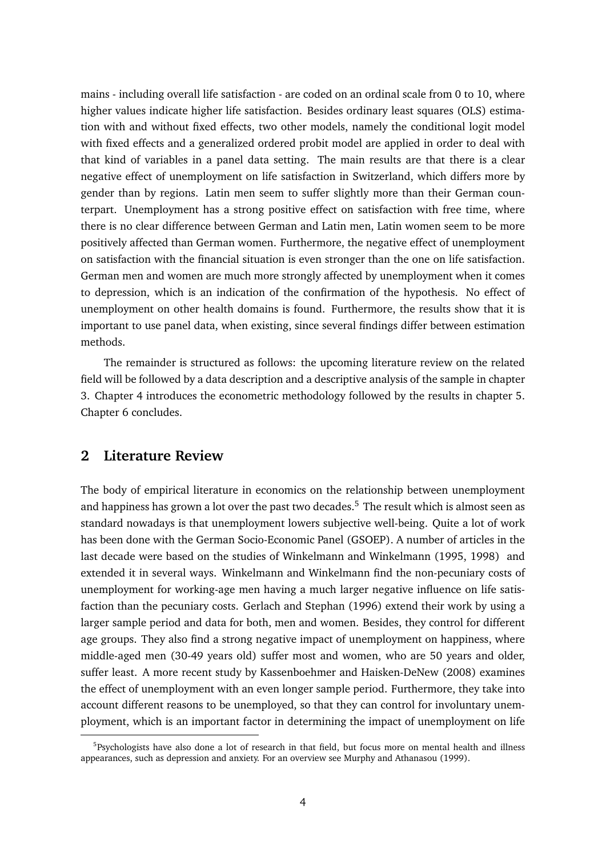mains - including overall life satisfaction - are coded on an ordinal scale from 0 to 10, where higher values indicate higher life satisfaction. Besides ordinary least squares (OLS) estimation with and without fixed effects, two other models, namely the conditional logit model with fixed effects and a generalized ordered probit model are applied in order to deal with that kind of variables in a panel data setting. The main results are that there is a clear negative effect of unemployment on life satisfaction in Switzerland, which differs more by gender than by regions. Latin men seem to suffer slightly more than their German counterpart. Unemployment has a strong positive effect on satisfaction with free time, where there is no clear difference between German and Latin men, Latin women seem to be more positively affected than German women. Furthermore, the negative effect of unemployment on satisfaction with the financial situation is even stronger than the one on life satisfaction. German men and women are much more strongly affected by unemployment when it comes to depression, which is an indication of the confirmation of the hypothesis. No effect of unemployment on other health domains is found. Furthermore, the results show that it is important to use panel data, when existing, since several findings differ between estimation methods.

The remainder is structured as follows: the upcoming literature review on the related field will be followed by a data description and a descriptive analysis of the sample in chapter 3. Chapter 4 introduces the econometric methodology followed by the results in chapter 5. Chapter 6 concludes.

# **2 Literature Review**

The body of empirical literature in economics on the relationship between unemployment and happiness has grown a lot over the past two decades.<sup>5</sup> The result which is almost seen as standard nowadays is that unemployment lowers subjective well-being. Quite a lot of work has been done with the German Socio-Economic Panel (GSOEP). A number of articles in the last decade were based on the studies of Winkelmann and Winkelmann (1995, 1998) and extended it in several ways. Winkelmann and Winkelmann find the non-pecuniary costs of unemployment for working-age men having a much larger negative influence on life satisfaction than the pecuniary costs. Gerlach and Stephan (1996) extend their work by using a larger sample period and data for both, men and women. Besides, they control for different age groups. They also find a strong negative impact of unemployment on happiness, where middle-aged men (30-49 years old) suffer most and women, who are 50 years and older, suffer least. A more recent study by Kassenboehmer and Haisken-DeNew (2008) examines the effect of unemployment with an even longer sample period. Furthermore, they take into account different reasons to be unemployed, so that they can control for involuntary unemployment, which is an important factor in determining the impact of unemployment on life

<sup>&</sup>lt;sup>5</sup>Psychologists have also done a lot of research in that field, but focus more on mental health and illness appearances, such as depression and anxiety. For an overview see Murphy and Athanasou (1999).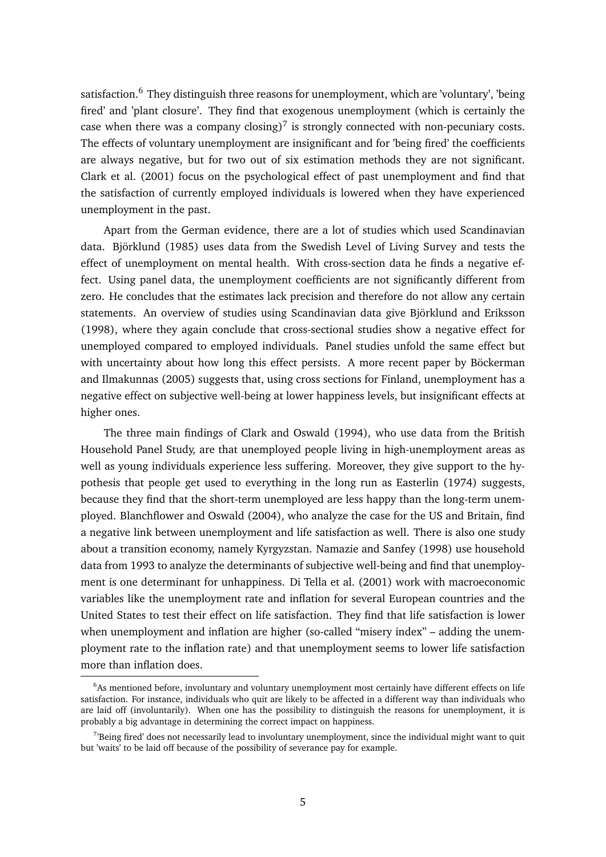satisfaction.<sup>6</sup> They distinguish three reasons for unemployment, which are 'voluntary', 'being fired' and 'plant closure'. They find that exogenous unemployment (which is certainly the case when there was a company closing)<sup>7</sup> is strongly connected with non-pecuniary costs. The effects of voluntary unemployment are insignificant and for 'being fired' the coefficients are always negative, but for two out of six estimation methods they are not significant. Clark et al. (2001) focus on the psychological effect of past unemployment and find that the satisfaction of currently employed individuals is lowered when they have experienced unemployment in the past.

Apart from the German evidence, there are a lot of studies which used Scandinavian data. Björklund (1985) uses data from the Swedish Level of Living Survey and tests the effect of unemployment on mental health. With cross-section data he finds a negative effect. Using panel data, the unemployment coefficients are not significantly different from zero. He concludes that the estimates lack precision and therefore do not allow any certain statements. An overview of studies using Scandinavian data give Björklund and Eriksson (1998), where they again conclude that cross-sectional studies show a negative effect for unemployed compared to employed individuals. Panel studies unfold the same effect but with uncertainty about how long this effect persists. A more recent paper by Böckerman and Ilmakunnas (2005) suggests that, using cross sections for Finland, unemployment has a negative effect on subjective well-being at lower happiness levels, but insignificant effects at higher ones.

The three main findings of Clark and Oswald (1994), who use data from the British Household Panel Study, are that unemployed people living in high-unemployment areas as well as young individuals experience less suffering. Moreover, they give support to the hypothesis that people get used to everything in the long run as Easterlin (1974) suggests, because they find that the short-term unemployed are less happy than the long-term unemployed. Blanchflower and Oswald (2004), who analyze the case for the US and Britain, find a negative link between unemployment and life satisfaction as well. There is also one study about a transition economy, namely Kyrgyzstan. Namazie and Sanfey (1998) use household data from 1993 to analyze the determinants of subjective well-being and find that unemployment is one determinant for unhappiness. Di Tella et al. (2001) work with macroeconomic variables like the unemployment rate and inflation for several European countries and the United States to test their effect on life satisfaction. They find that life satisfaction is lower when unemployment and inflation are higher (so-called "misery index" – adding the unemployment rate to the inflation rate) and that unemployment seems to lower life satisfaction more than inflation does.

 $6$ As mentioned before, involuntary and voluntary unemployment most certainly have different effects on life satisfaction. For instance, individuals who quit are likely to be affected in a different way than individuals who are laid off (involuntarily). When one has the possibility to distinguish the reasons for unemployment, it is probably a big advantage in determining the correct impact on happiness.

 $^{7}$ Being fired' does not necessarily lead to involuntary unemployment, since the individual might want to quit but 'waits' to be laid off because of the possibility of severance pay for example.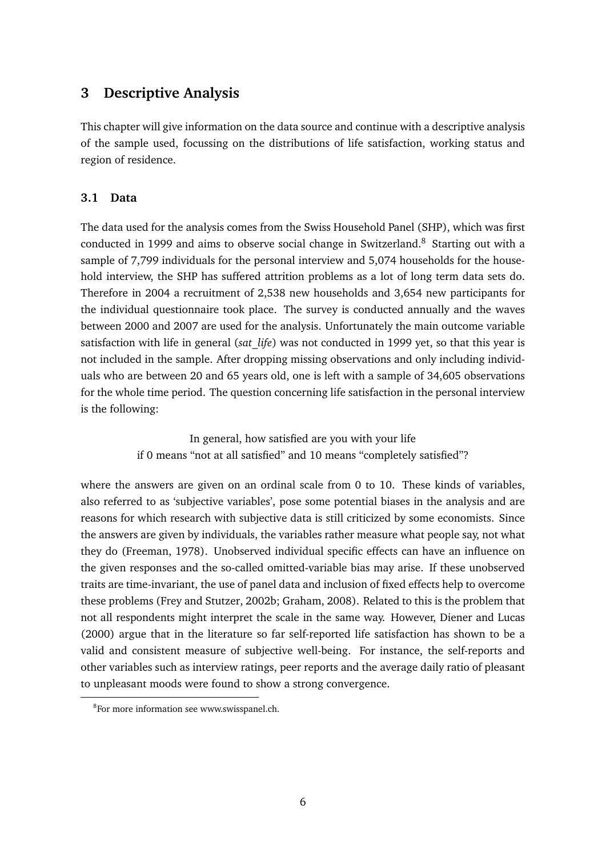# **3 Descriptive Analysis**

This chapter will give information on the data source and continue with a descriptive analysis of the sample used, focussing on the distributions of life satisfaction, working status and region of residence.

### **3.1 Data**

The data used for the analysis comes from the Swiss Household Panel (SHP), which was first conducted in 1999 and aims to observe social change in Switzerland.<sup>8</sup> Starting out with a sample of 7,799 individuals for the personal interview and 5,074 households for the household interview, the SHP has suffered attrition problems as a lot of long term data sets do. Therefore in 2004 a recruitment of 2,538 new households and 3,654 new participants for the individual questionnaire took place. The survey is conducted annually and the waves between 2000 and 2007 are used for the analysis. Unfortunately the main outcome variable satisfaction with life in general (*sat\_life*) was not conducted in 1999 yet, so that this year is not included in the sample. After dropping missing observations and only including individuals who are between 20 and 65 years old, one is left with a sample of 34,605 observations for the whole time period. The question concerning life satisfaction in the personal interview is the following:

> In general, how satisfied are you with your life if 0 means "not at all satisfied" and 10 means "completely satisfied"?

where the answers are given on an ordinal scale from 0 to 10. These kinds of variables, also referred to as 'subjective variables', pose some potential biases in the analysis and are reasons for which research with subjective data is still criticized by some economists. Since the answers are given by individuals, the variables rather measure what people say, not what they do (Freeman, 1978). Unobserved individual specific effects can have an influence on the given responses and the so-called omitted-variable bias may arise. If these unobserved traits are time-invariant, the use of panel data and inclusion of fixed effects help to overcome these problems (Frey and Stutzer, 2002b; Graham, 2008). Related to this is the problem that not all respondents might interpret the scale in the same way. However, Diener and Lucas (2000) argue that in the literature so far self-reported life satisfaction has shown to be a valid and consistent measure of subjective well-being. For instance, the self-reports and other variables such as interview ratings, peer reports and the average daily ratio of pleasant to unpleasant moods were found to show a strong convergence.

<sup>&</sup>lt;sup>8</sup>For more information see www.swisspanel.ch.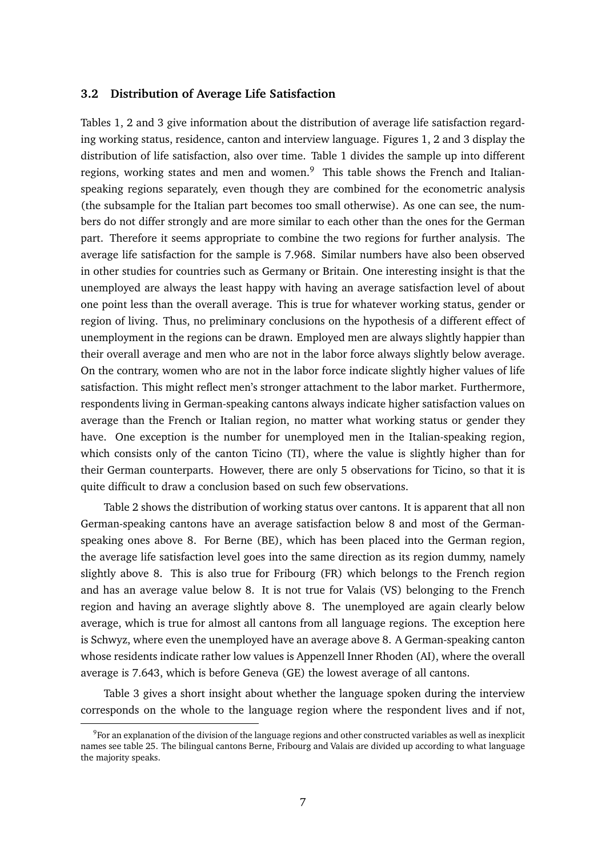### **3.2 Distribution of Average Life Satisfaction**

Tables 1, 2 and 3 give information about the distribution of average life satisfaction regarding working status, residence, canton and interview language. Figures 1, 2 and 3 display the distribution of life satisfaction, also over time. Table 1 divides the sample up into different regions, working states and men and women. $9$  This table shows the French and Italianspeaking regions separately, even though they are combined for the econometric analysis (the subsample for the Italian part becomes too small otherwise). As one can see, the numbers do not differ strongly and are more similar to each other than the ones for the German part. Therefore it seems appropriate to combine the two regions for further analysis. The average life satisfaction for the sample is 7.968. Similar numbers have also been observed in other studies for countries such as Germany or Britain. One interesting insight is that the unemployed are always the least happy with having an average satisfaction level of about one point less than the overall average. This is true for whatever working status, gender or region of living. Thus, no preliminary conclusions on the hypothesis of a different effect of unemployment in the regions can be drawn. Employed men are always slightly happier than their overall average and men who are not in the labor force always slightly below average. On the contrary, women who are not in the labor force indicate slightly higher values of life satisfaction. This might reflect men's stronger attachment to the labor market. Furthermore, respondents living in German-speaking cantons always indicate higher satisfaction values on average than the French or Italian region, no matter what working status or gender they have. One exception is the number for unemployed men in the Italian-speaking region, which consists only of the canton Ticino (TI), where the value is slightly higher than for their German counterparts. However, there are only 5 observations for Ticino, so that it is quite difficult to draw a conclusion based on such few observations.

Table 2 shows the distribution of working status over cantons. It is apparent that all non German-speaking cantons have an average satisfaction below 8 and most of the Germanspeaking ones above 8. For Berne (BE), which has been placed into the German region, the average life satisfaction level goes into the same direction as its region dummy, namely slightly above 8. This is also true for Fribourg (FR) which belongs to the French region and has an average value below 8. It is not true for Valais (VS) belonging to the French region and having an average slightly above 8. The unemployed are again clearly below average, which is true for almost all cantons from all language regions. The exception here is Schwyz, where even the unemployed have an average above 8. A German-speaking canton whose residents indicate rather low values is Appenzell Inner Rhoden (AI), where the overall average is 7.643, which is before Geneva (GE) the lowest average of all cantons.

Table 3 gives a short insight about whether the language spoken during the interview corresponds on the whole to the language region where the respondent lives and if not,

 $^9$ For an explanation of the division of the language regions and other constructed variables as well as inexplicit names see table 25. The bilingual cantons Berne, Fribourg and Valais are divided up according to what language the majority speaks.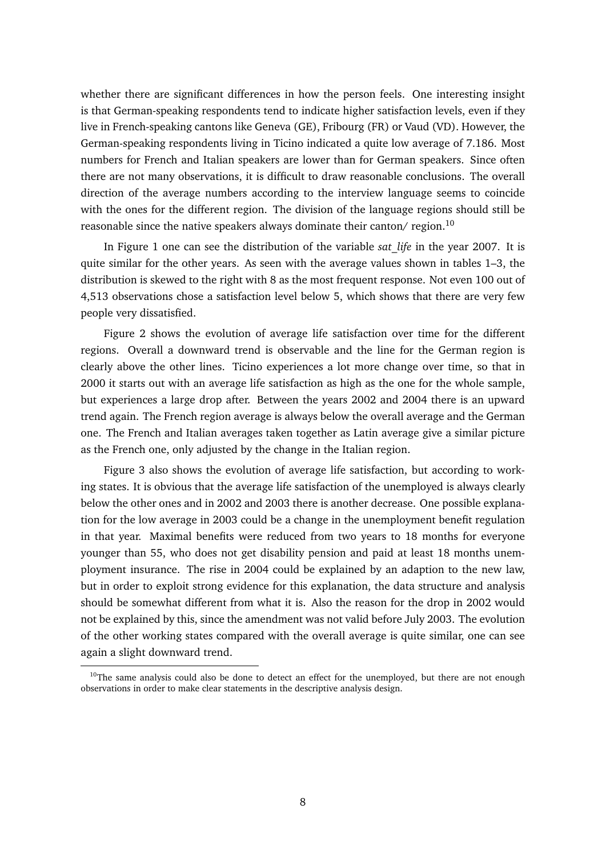whether there are significant differences in how the person feels. One interesting insight is that German-speaking respondents tend to indicate higher satisfaction levels, even if they live in French-speaking cantons like Geneva (GE), Fribourg (FR) or Vaud (VD). However, the German-speaking respondents living in Ticino indicated a quite low average of 7.186. Most numbers for French and Italian speakers are lower than for German speakers. Since often there are not many observations, it is difficult to draw reasonable conclusions. The overall direction of the average numbers according to the interview language seems to coincide with the ones for the different region. The division of the language regions should still be reasonable since the native speakers always dominate their canton/ region.<sup>10</sup>

In Figure 1 one can see the distribution of the variable *sat\_life* in the year 2007. It is quite similar for the other years. As seen with the average values shown in tables 1–3, the distribution is skewed to the right with 8 as the most frequent response. Not even 100 out of 4,513 observations chose a satisfaction level below 5, which shows that there are very few people very dissatisfied.

Figure 2 shows the evolution of average life satisfaction over time for the different regions. Overall a downward trend is observable and the line for the German region is clearly above the other lines. Ticino experiences a lot more change over time, so that in 2000 it starts out with an average life satisfaction as high as the one for the whole sample, but experiences a large drop after. Between the years 2002 and 2004 there is an upward trend again. The French region average is always below the overall average and the German one. The French and Italian averages taken together as Latin average give a similar picture as the French one, only adjusted by the change in the Italian region.

Figure 3 also shows the evolution of average life satisfaction, but according to working states. It is obvious that the average life satisfaction of the unemployed is always clearly below the other ones and in 2002 and 2003 there is another decrease. One possible explanation for the low average in 2003 could be a change in the unemployment benefit regulation in that year. Maximal benefits were reduced from two years to 18 months for everyone younger than 55, who does not get disability pension and paid at least 18 months unemployment insurance. The rise in 2004 could be explained by an adaption to the new law, but in order to exploit strong evidence for this explanation, the data structure and analysis should be somewhat different from what it is. Also the reason for the drop in 2002 would not be explained by this, since the amendment was not valid before July 2003. The evolution of the other working states compared with the overall average is quite similar, one can see again a slight downward trend.

 $10$ The same analysis could also be done to detect an effect for the unemployed, but there are not enough observations in order to make clear statements in the descriptive analysis design.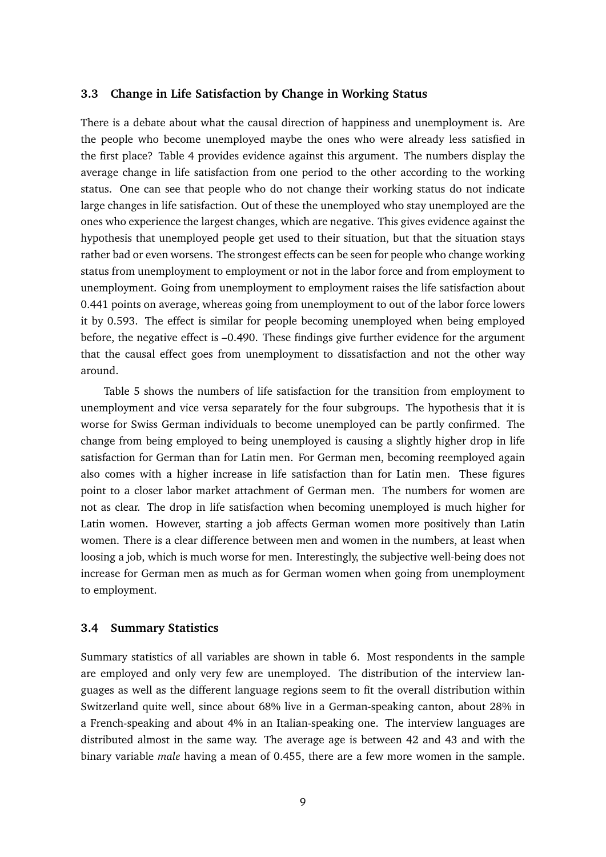### **3.3 Change in Life Satisfaction by Change in Working Status**

There is a debate about what the causal direction of happiness and unemployment is. Are the people who become unemployed maybe the ones who were already less satisfied in the first place? Table 4 provides evidence against this argument. The numbers display the average change in life satisfaction from one period to the other according to the working status. One can see that people who do not change their working status do not indicate large changes in life satisfaction. Out of these the unemployed who stay unemployed are the ones who experience the largest changes, which are negative. This gives evidence against the hypothesis that unemployed people get used to their situation, but that the situation stays rather bad or even worsens. The strongest effects can be seen for people who change working status from unemployment to employment or not in the labor force and from employment to unemployment. Going from unemployment to employment raises the life satisfaction about 0.441 points on average, whereas going from unemployment to out of the labor force lowers it by 0.593. The effect is similar for people becoming unemployed when being employed before, the negative effect is –0.490. These findings give further evidence for the argument that the causal effect goes from unemployment to dissatisfaction and not the other way around.

Table 5 shows the numbers of life satisfaction for the transition from employment to unemployment and vice versa separately for the four subgroups. The hypothesis that it is worse for Swiss German individuals to become unemployed can be partly confirmed. The change from being employed to being unemployed is causing a slightly higher drop in life satisfaction for German than for Latin men. For German men, becoming reemployed again also comes with a higher increase in life satisfaction than for Latin men. These figures point to a closer labor market attachment of German men. The numbers for women are not as clear. The drop in life satisfaction when becoming unemployed is much higher for Latin women. However, starting a job affects German women more positively than Latin women. There is a clear difference between men and women in the numbers, at least when loosing a job, which is much worse for men. Interestingly, the subjective well-being does not increase for German men as much as for German women when going from unemployment to employment.

### **3.4 Summary Statistics**

Summary statistics of all variables are shown in table 6. Most respondents in the sample are employed and only very few are unemployed. The distribution of the interview languages as well as the different language regions seem to fit the overall distribution within Switzerland quite well, since about 68% live in a German-speaking canton, about 28% in a French-speaking and about 4% in an Italian-speaking one. The interview languages are distributed almost in the same way. The average age is between 42 and 43 and with the binary variable *male* having a mean of 0.455, there are a few more women in the sample.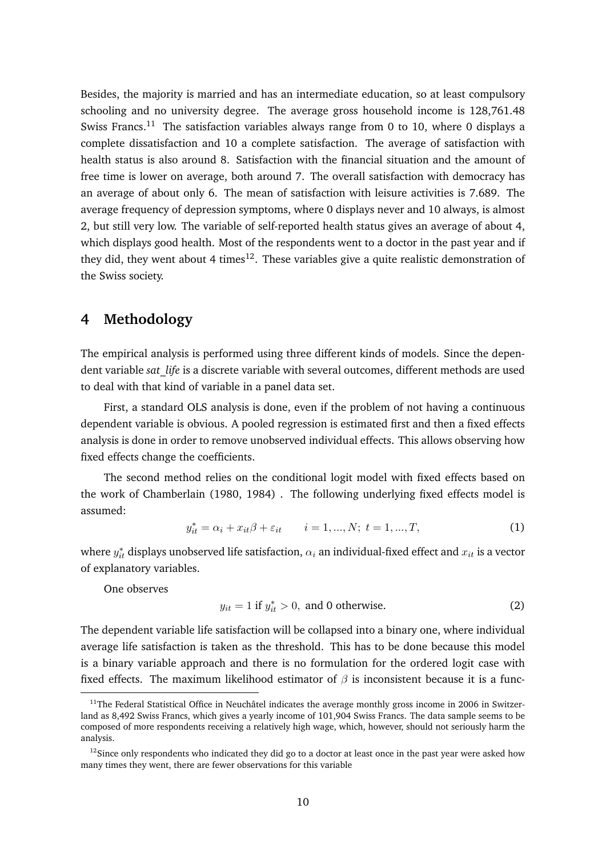Besides, the majority is married and has an intermediate education, so at least compulsory schooling and no university degree. The average gross household income is 128,761.48 Swiss Francs.<sup>11</sup> The satisfaction variables always range from 0 to 10, where 0 displays a complete dissatisfaction and 10 a complete satisfaction. The average of satisfaction with health status is also around 8. Satisfaction with the financial situation and the amount of free time is lower on average, both around 7. The overall satisfaction with democracy has an average of about only 6. The mean of satisfaction with leisure activities is 7.689. The average frequency of depression symptoms, where 0 displays never and 10 always, is almost 2, but still very low. The variable of self-reported health status gives an average of about 4, which displays good health. Most of the respondents went to a doctor in the past year and if they did, they went about 4 times<sup>12</sup>. These variables give a quite realistic demonstration of the Swiss society.

# **4 Methodology**

The empirical analysis is performed using three different kinds of models. Since the dependent variable *sat\_life* is a discrete variable with several outcomes, different methods are used to deal with that kind of variable in a panel data set.

First, a standard OLS analysis is done, even if the problem of not having a continuous dependent variable is obvious. A pooled regression is estimated first and then a fixed effects analysis is done in order to remove unobserved individual effects. This allows observing how fixed effects change the coefficients.

The second method relies on the conditional logit model with fixed effects based on the work of Chamberlain (1980, 1984) . The following underlying fixed effects model is assumed:

$$
y_{it}^* = \alpha_i + x_{it}\beta + \varepsilon_{it} \qquad i = 1, ..., N; \ t = 1, ..., T,
$$
 (1)

where  $y_{it}^*$  displays unobserved life satisfaction,  $\alpha_i$  an individual-fixed effect and  $x_{it}$  is a vector of explanatory variables.

One observes

$$
y_{it} = 1 \text{ if } y_{it}^* > 0, \text{ and } 0 \text{ otherwise.}
$$
 (2)

The dependent variable life satisfaction will be collapsed into a binary one, where individual average life satisfaction is taken as the threshold. This has to be done because this model is a binary variable approach and there is no formulation for the ordered logit case with fixed effects. The maximum likelihood estimator of  $\beta$  is inconsistent because it is a func-

 $11$ The Federal Statistical Office in Neuchâtel indicates the average monthly gross income in 2006 in Switzerland as 8,492 Swiss Francs, which gives a yearly income of 101,904 Swiss Francs. The data sample seems to be composed of more respondents receiving a relatively high wage, which, however, should not seriously harm the analysis.

 $12$ Since only respondents who indicated they did go to a doctor at least once in the past year were asked how many times they went, there are fewer observations for this variable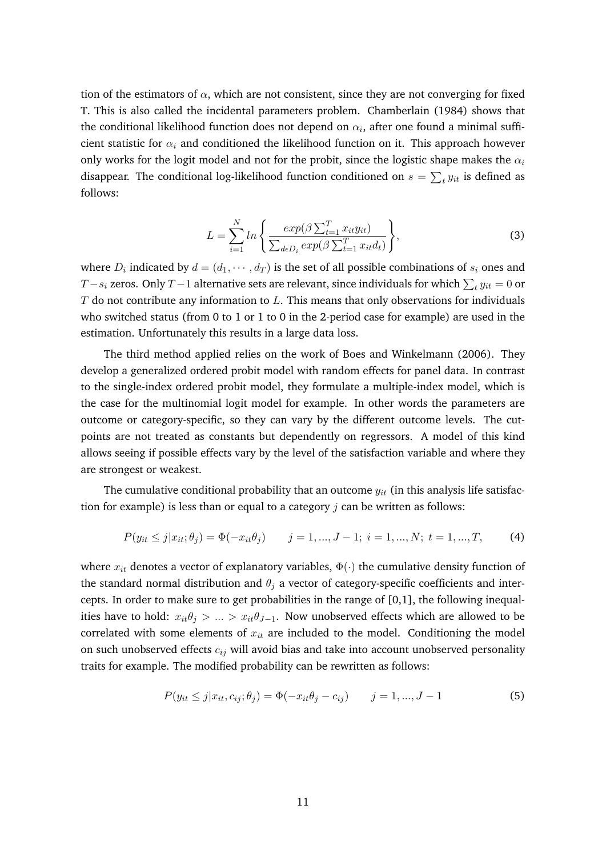tion of the estimators of  $\alpha$ , which are not consistent, since they are not converging for fixed T. This is also called the incidental parameters problem. Chamberlain (1984) shows that the conditional likelihood function does not depend on  $\alpha_i$ , after one found a minimal sufficient statistic for  $\alpha_i$  and conditioned the likelihood function on it. This approach however only works for the logit model and not for the probit, since the logistic shape makes the  $\alpha_i$ disappear. The conditional log-likelihood function conditioned on  $s=\sum_t y_{it}$  is defined as follows:

$$
L = \sum_{i=1}^{N} ln\left\{ \frac{exp(\beta \sum_{t=1}^{T} x_{it} y_{it})}{\sum_{d \in D_i} exp(\beta \sum_{t=1}^{T} x_{it} d_t)} \right\},
$$
\n(3)

where  $D_i$  indicated by  $d = (d_1, \cdots, d_T)$  is the set of all possible combinations of  $s_i$  ones and  $T\!-\!s_i$  zeros. Only  $T\!-\!1$  alternative sets are relevant, since individuals for which  $\sum_t y_{it} = 0$  or  $T$  do not contribute any information to  $L$ . This means that only observations for individuals who switched status (from 0 to 1 or 1 to 0 in the 2-period case for example) are used in the estimation. Unfortunately this results in a large data loss.

The third method applied relies on the work of Boes and Winkelmann (2006). They develop a generalized ordered probit model with random effects for panel data. In contrast to the single-index ordered probit model, they formulate a multiple-index model, which is the case for the multinomial logit model for example. In other words the parameters are outcome or category-specific, so they can vary by the different outcome levels. The cutpoints are not treated as constants but dependently on regressors. A model of this kind allows seeing if possible effects vary by the level of the satisfaction variable and where they are strongest or weakest.

The cumulative conditional probability that an outcome  $y_{it}$  (in this analysis life satisfaction for example) is less than or equal to a category  $j$  can be written as follows:

$$
P(y_{it} \le j | x_{it}; \theta_j) = \Phi(-x_{it}\theta_j) \qquad j = 1, ..., J-1; \ i = 1, ..., N; \ t = 1, ..., T,
$$
 (4)

where  $x_{it}$  denotes a vector of explanatory variables,  $\Phi(\cdot)$  the cumulative density function of the standard normal distribution and  $\theta_i$  a vector of category-specific coefficients and intercepts. In order to make sure to get probabilities in the range of [0,1], the following inequalities have to hold:  $x_{it}\theta_j > ... > x_{it}\theta_{J-1}$ . Now unobserved effects which are allowed to be correlated with some elements of  $x_{it}$  are included to the model. Conditioning the model on such unobserved effects  $c_{ij}$  will avoid bias and take into account unobserved personality traits for example. The modified probability can be rewritten as follows:

$$
P(y_{it} \le j | x_{it}, c_{ij}; \theta_j) = \Phi(-x_{it}\theta_j - c_{ij}) \qquad j = 1, ..., J - 1
$$
\n(5)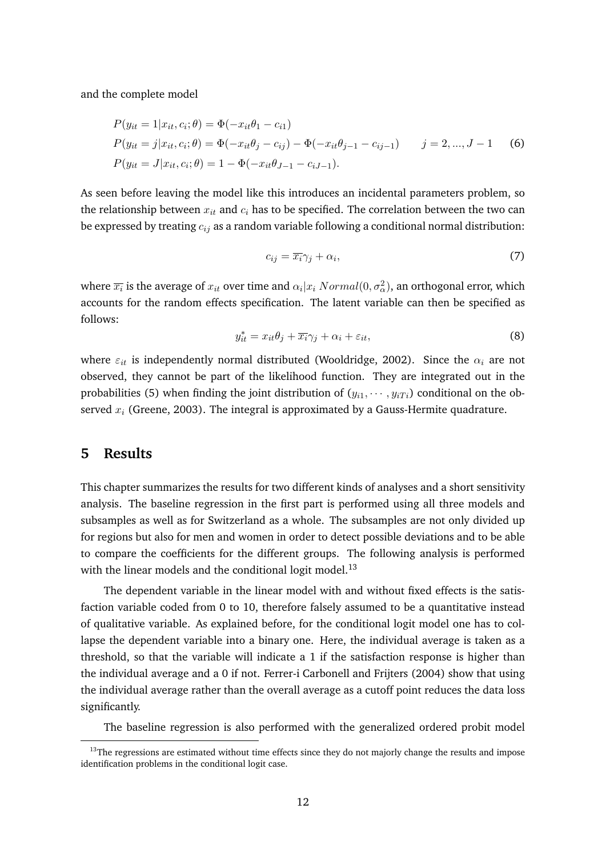and the complete model

$$
P(y_{it} = 1 | x_{it}, c_i; \theta) = \Phi(-x_{it}\theta_1 - c_{i1})
$$
  
\n
$$
P(y_{it} = j | x_{it}, c_i; \theta) = \Phi(-x_{it}\theta_j - c_{ij}) - \Phi(-x_{it}\theta_{j-1} - c_{ij-1})
$$
  $j = 2, ..., J - 1$  (6)  
\n
$$
P(y_{it} = J | x_{it}, c_i; \theta) = 1 - \Phi(-x_{it}\theta_{J-1} - c_{iJ-1}).
$$

As seen before leaving the model like this introduces an incidental parameters problem, so the relationship between  $x_{it}$  and  $c_i$  has to be specified. The correlation between the two can be expressed by treating  $c_{ij}$  as a random variable following a conditional normal distribution:

$$
c_{ij} = \overline{x_i} \gamma_j + \alpha_i,\tag{7}
$$

where  $\overline{x_i}$  is the average of  $x_{it}$  over time and  $\alpha_i|x_i$   $Normal(0,\sigma_{\alpha}^2),$  an orthogonal error, which accounts for the random effects specification. The latent variable can then be specified as follows:

$$
y_{it}^* = x_{it}\theta_j + \overline{x_i}\gamma_j + \alpha_i + \varepsilon_{it},\tag{8}
$$

where  $\varepsilon_{it}$  is independently normal distributed (Wooldridge, 2002). Since the  $\alpha_i$  are not observed, they cannot be part of the likelihood function. They are integrated out in the probabilities (5) when finding the joint distribution of  $(y_{i1}, \dots, y_{iT})$  conditional on the observed  $x_i$  (Greene, 2003). The integral is approximated by a Gauss-Hermite quadrature.

# **5 Results**

This chapter summarizes the results for two different kinds of analyses and a short sensitivity analysis. The baseline regression in the first part is performed using all three models and subsamples as well as for Switzerland as a whole. The subsamples are not only divided up for regions but also for men and women in order to detect possible deviations and to be able to compare the coefficients for the different groups. The following analysis is performed with the linear models and the conditional logit model.<sup>13</sup>

The dependent variable in the linear model with and without fixed effects is the satisfaction variable coded from 0 to 10, therefore falsely assumed to be a quantitative instead of qualitative variable. As explained before, for the conditional logit model one has to collapse the dependent variable into a binary one. Here, the individual average is taken as a threshold, so that the variable will indicate a 1 if the satisfaction response is higher than the individual average and a 0 if not. Ferrer-i Carbonell and Frijters (2004) show that using the individual average rather than the overall average as a cutoff point reduces the data loss significantly.

The baseline regression is also performed with the generalized ordered probit model

 $13$ The regressions are estimated without time effects since they do not majorly change the results and impose identification problems in the conditional logit case.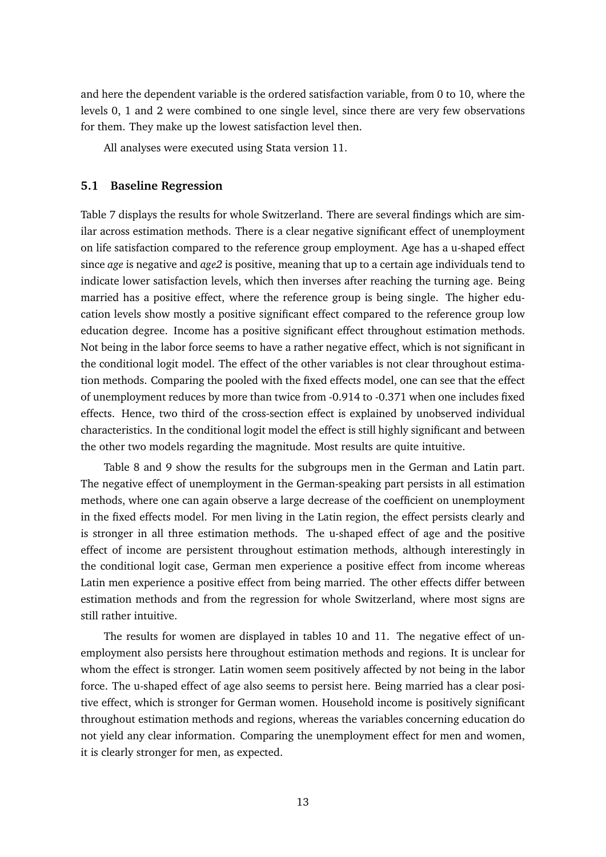and here the dependent variable is the ordered satisfaction variable, from 0 to 10, where the levels 0, 1 and 2 were combined to one single level, since there are very few observations for them. They make up the lowest satisfaction level then.

All analyses were executed using Stata version 11.

### **5.1 Baseline Regression**

Table 7 displays the results for whole Switzerland. There are several findings which are similar across estimation methods. There is a clear negative significant effect of unemployment on life satisfaction compared to the reference group employment. Age has a u-shaped effect since *age* is negative and *age2* is positive, meaning that up to a certain age individuals tend to indicate lower satisfaction levels, which then inverses after reaching the turning age. Being married has a positive effect, where the reference group is being single. The higher education levels show mostly a positive significant effect compared to the reference group low education degree. Income has a positive significant effect throughout estimation methods. Not being in the labor force seems to have a rather negative effect, which is not significant in the conditional logit model. The effect of the other variables is not clear throughout estimation methods. Comparing the pooled with the fixed effects model, one can see that the effect of unemployment reduces by more than twice from -0.914 to -0.371 when one includes fixed effects. Hence, two third of the cross-section effect is explained by unobserved individual characteristics. In the conditional logit model the effect is still highly significant and between the other two models regarding the magnitude. Most results are quite intuitive.

Table 8 and 9 show the results for the subgroups men in the German and Latin part. The negative effect of unemployment in the German-speaking part persists in all estimation methods, where one can again observe a large decrease of the coefficient on unemployment in the fixed effects model. For men living in the Latin region, the effect persists clearly and is stronger in all three estimation methods. The u-shaped effect of age and the positive effect of income are persistent throughout estimation methods, although interestingly in the conditional logit case, German men experience a positive effect from income whereas Latin men experience a positive effect from being married. The other effects differ between estimation methods and from the regression for whole Switzerland, where most signs are still rather intuitive.

The results for women are displayed in tables 10 and 11. The negative effect of unemployment also persists here throughout estimation methods and regions. It is unclear for whom the effect is stronger. Latin women seem positively affected by not being in the labor force. The u-shaped effect of age also seems to persist here. Being married has a clear positive effect, which is stronger for German women. Household income is positively significant throughout estimation methods and regions, whereas the variables concerning education do not yield any clear information. Comparing the unemployment effect for men and women, it is clearly stronger for men, as expected.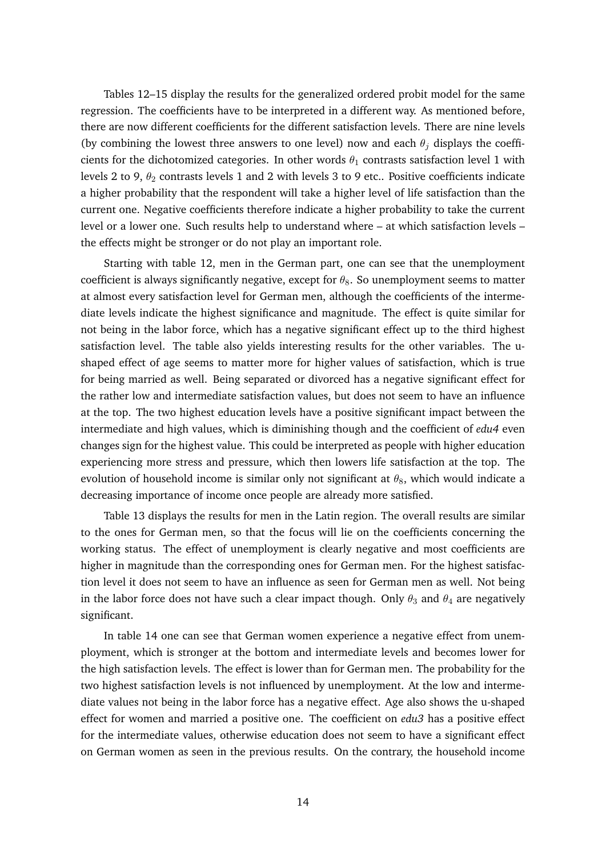Tables 12–15 display the results for the generalized ordered probit model for the same regression. The coefficients have to be interpreted in a different way. As mentioned before, there are now different coefficients for the different satisfaction levels. There are nine levels (by combining the lowest three answers to one level) now and each  $\theta_i$  displays the coefficients for the dichotomized categories. In other words  $\theta_1$  contrasts satisfaction level 1 with levels 2 to 9,  $\theta_2$  contrasts levels 1 and 2 with levels 3 to 9 etc.. Positive coefficients indicate a higher probability that the respondent will take a higher level of life satisfaction than the current one. Negative coefficients therefore indicate a higher probability to take the current level or a lower one. Such results help to understand where – at which satisfaction levels – the effects might be stronger or do not play an important role.

Starting with table 12, men in the German part, one can see that the unemployment coefficient is always significantly negative, except for  $\theta_8$ . So unemployment seems to matter at almost every satisfaction level for German men, although the coefficients of the intermediate levels indicate the highest significance and magnitude. The effect is quite similar for not being in the labor force, which has a negative significant effect up to the third highest satisfaction level. The table also yields interesting results for the other variables. The ushaped effect of age seems to matter more for higher values of satisfaction, which is true for being married as well. Being separated or divorced has a negative significant effect for the rather low and intermediate satisfaction values, but does not seem to have an influence at the top. The two highest education levels have a positive significant impact between the intermediate and high values, which is diminishing though and the coefficient of *edu4* even changes sign for the highest value. This could be interpreted as people with higher education experiencing more stress and pressure, which then lowers life satisfaction at the top. The evolution of household income is similar only not significant at  $\theta_8$ , which would indicate a decreasing importance of income once people are already more satisfied.

Table 13 displays the results for men in the Latin region. The overall results are similar to the ones for German men, so that the focus will lie on the coefficients concerning the working status. The effect of unemployment is clearly negative and most coefficients are higher in magnitude than the corresponding ones for German men. For the highest satisfaction level it does not seem to have an influence as seen for German men as well. Not being in the labor force does not have such a clear impact though. Only  $\theta_3$  and  $\theta_4$  are negatively significant.

In table 14 one can see that German women experience a negative effect from unemployment, which is stronger at the bottom and intermediate levels and becomes lower for the high satisfaction levels. The effect is lower than for German men. The probability for the two highest satisfaction levels is not influenced by unemployment. At the low and intermediate values not being in the labor force has a negative effect. Age also shows the u-shaped effect for women and married a positive one. The coefficient on *edu3* has a positive effect for the intermediate values, otherwise education does not seem to have a significant effect on German women as seen in the previous results. On the contrary, the household income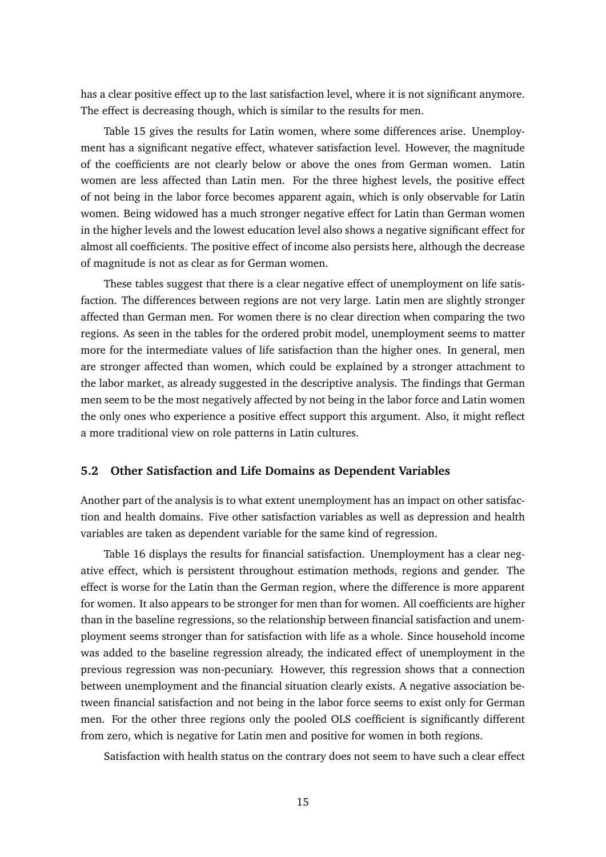has a clear positive effect up to the last satisfaction level, where it is not significant anymore. The effect is decreasing though, which is similar to the results for men.

Table 15 gives the results for Latin women, where some differences arise. Unemployment has a significant negative effect, whatever satisfaction level. However, the magnitude of the coefficients are not clearly below or above the ones from German women. Latin women are less affected than Latin men. For the three highest levels, the positive effect of not being in the labor force becomes apparent again, which is only observable for Latin women. Being widowed has a much stronger negative effect for Latin than German women in the higher levels and the lowest education level also shows a negative significant effect for almost all coefficients. The positive effect of income also persists here, although the decrease of magnitude is not as clear as for German women.

These tables suggest that there is a clear negative effect of unemployment on life satisfaction. The differences between regions are not very large. Latin men are slightly stronger affected than German men. For women there is no clear direction when comparing the two regions. As seen in the tables for the ordered probit model, unemployment seems to matter more for the intermediate values of life satisfaction than the higher ones. In general, men are stronger affected than women, which could be explained by a stronger attachment to the labor market, as already suggested in the descriptive analysis. The findings that German men seem to be the most negatively affected by not being in the labor force and Latin women the only ones who experience a positive effect support this argument. Also, it might reflect a more traditional view on role patterns in Latin cultures.

### **5.2 Other Satisfaction and Life Domains as Dependent Variables**

Another part of the analysis is to what extent unemployment has an impact on other satisfaction and health domains. Five other satisfaction variables as well as depression and health variables are taken as dependent variable for the same kind of regression.

Table 16 displays the results for financial satisfaction. Unemployment has a clear negative effect, which is persistent throughout estimation methods, regions and gender. The effect is worse for the Latin than the German region, where the difference is more apparent for women. It also appears to be stronger for men than for women. All coefficients are higher than in the baseline regressions, so the relationship between financial satisfaction and unemployment seems stronger than for satisfaction with life as a whole. Since household income was added to the baseline regression already, the indicated effect of unemployment in the previous regression was non-pecuniary. However, this regression shows that a connection between unemployment and the financial situation clearly exists. A negative association between financial satisfaction and not being in the labor force seems to exist only for German men. For the other three regions only the pooled OLS coefficient is significantly different from zero, which is negative for Latin men and positive for women in both regions.

Satisfaction with health status on the contrary does not seem to have such a clear effect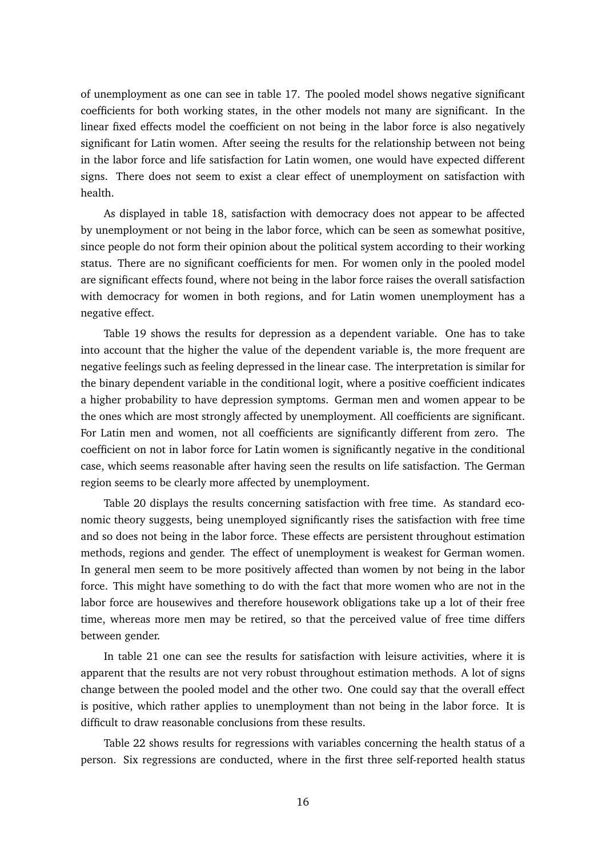of unemployment as one can see in table 17. The pooled model shows negative significant coefficients for both working states, in the other models not many are significant. In the linear fixed effects model the coefficient on not being in the labor force is also negatively significant for Latin women. After seeing the results for the relationship between not being in the labor force and life satisfaction for Latin women, one would have expected different signs. There does not seem to exist a clear effect of unemployment on satisfaction with health.

As displayed in table 18, satisfaction with democracy does not appear to be affected by unemployment or not being in the labor force, which can be seen as somewhat positive, since people do not form their opinion about the political system according to their working status. There are no significant coefficients for men. For women only in the pooled model are significant effects found, where not being in the labor force raises the overall satisfaction with democracy for women in both regions, and for Latin women unemployment has a negative effect.

Table 19 shows the results for depression as a dependent variable. One has to take into account that the higher the value of the dependent variable is, the more frequent are negative feelings such as feeling depressed in the linear case. The interpretation is similar for the binary dependent variable in the conditional logit, where a positive coefficient indicates a higher probability to have depression symptoms. German men and women appear to be the ones which are most strongly affected by unemployment. All coefficients are significant. For Latin men and women, not all coefficients are significantly different from zero. The coefficient on not in labor force for Latin women is significantly negative in the conditional case, which seems reasonable after having seen the results on life satisfaction. The German region seems to be clearly more affected by unemployment.

Table 20 displays the results concerning satisfaction with free time. As standard economic theory suggests, being unemployed significantly rises the satisfaction with free time and so does not being in the labor force. These effects are persistent throughout estimation methods, regions and gender. The effect of unemployment is weakest for German women. In general men seem to be more positively affected than women by not being in the labor force. This might have something to do with the fact that more women who are not in the labor force are housewives and therefore housework obligations take up a lot of their free time, whereas more men may be retired, so that the perceived value of free time differs between gender.

In table 21 one can see the results for satisfaction with leisure activities, where it is apparent that the results are not very robust throughout estimation methods. A lot of signs change between the pooled model and the other two. One could say that the overall effect is positive, which rather applies to unemployment than not being in the labor force. It is difficult to draw reasonable conclusions from these results.

Table 22 shows results for regressions with variables concerning the health status of a person. Six regressions are conducted, where in the first three self-reported health status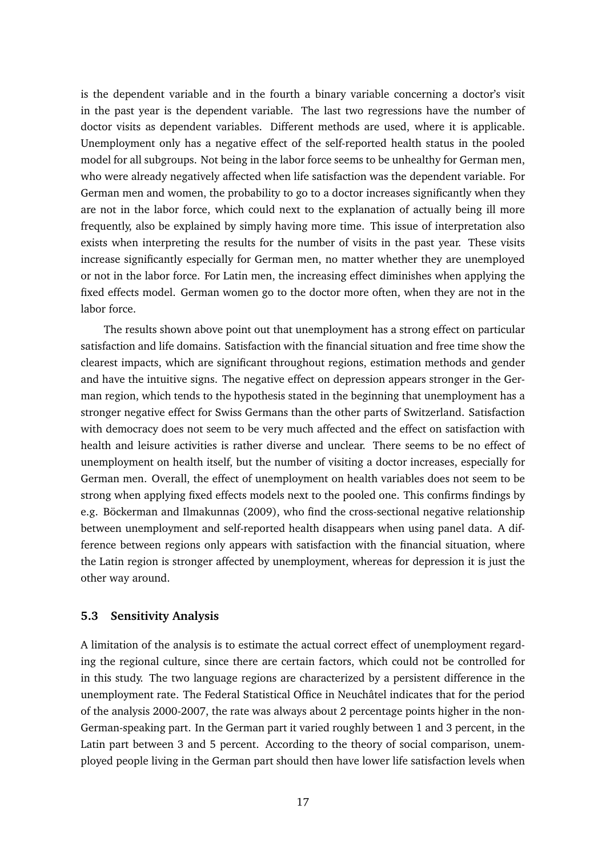is the dependent variable and in the fourth a binary variable concerning a doctor's visit in the past year is the dependent variable. The last two regressions have the number of doctor visits as dependent variables. Different methods are used, where it is applicable. Unemployment only has a negative effect of the self-reported health status in the pooled model for all subgroups. Not being in the labor force seems to be unhealthy for German men, who were already negatively affected when life satisfaction was the dependent variable. For German men and women, the probability to go to a doctor increases significantly when they are not in the labor force, which could next to the explanation of actually being ill more frequently, also be explained by simply having more time. This issue of interpretation also exists when interpreting the results for the number of visits in the past year. These visits increase significantly especially for German men, no matter whether they are unemployed or not in the labor force. For Latin men, the increasing effect diminishes when applying the fixed effects model. German women go to the doctor more often, when they are not in the labor force.

The results shown above point out that unemployment has a strong effect on particular satisfaction and life domains. Satisfaction with the financial situation and free time show the clearest impacts, which are significant throughout regions, estimation methods and gender and have the intuitive signs. The negative effect on depression appears stronger in the German region, which tends to the hypothesis stated in the beginning that unemployment has a stronger negative effect for Swiss Germans than the other parts of Switzerland. Satisfaction with democracy does not seem to be very much affected and the effect on satisfaction with health and leisure activities is rather diverse and unclear. There seems to be no effect of unemployment on health itself, but the number of visiting a doctor increases, especially for German men. Overall, the effect of unemployment on health variables does not seem to be strong when applying fixed effects models next to the pooled one. This confirms findings by e.g. Böckerman and Ilmakunnas (2009), who find the cross-sectional negative relationship between unemployment and self-reported health disappears when using panel data. A difference between regions only appears with satisfaction with the financial situation, where the Latin region is stronger affected by unemployment, whereas for depression it is just the other way around.

### **5.3 Sensitivity Analysis**

A limitation of the analysis is to estimate the actual correct effect of unemployment regarding the regional culture, since there are certain factors, which could not be controlled for in this study. The two language regions are characterized by a persistent difference in the unemployment rate. The Federal Statistical Office in Neuchâtel indicates that for the period of the analysis 2000-2007, the rate was always about 2 percentage points higher in the non-German-speaking part. In the German part it varied roughly between 1 and 3 percent, in the Latin part between 3 and 5 percent. According to the theory of social comparison, unemployed people living in the German part should then have lower life satisfaction levels when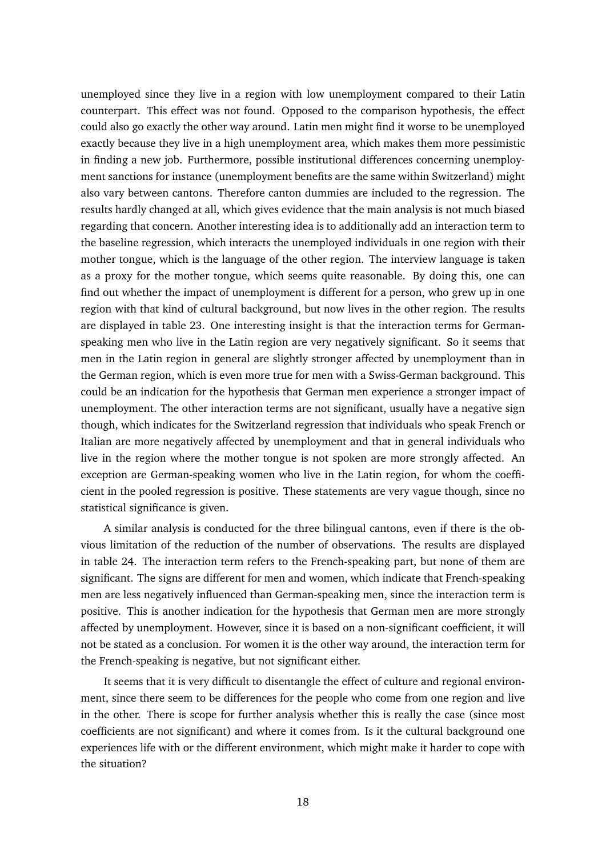unemployed since they live in a region with low unemployment compared to their Latin counterpart. This effect was not found. Opposed to the comparison hypothesis, the effect could also go exactly the other way around. Latin men might find it worse to be unemployed exactly because they live in a high unemployment area, which makes them more pessimistic in finding a new job. Furthermore, possible institutional differences concerning unemployment sanctions for instance (unemployment benefits are the same within Switzerland) might also vary between cantons. Therefore canton dummies are included to the regression. The results hardly changed at all, which gives evidence that the main analysis is not much biased regarding that concern. Another interesting idea is to additionally add an interaction term to the baseline regression, which interacts the unemployed individuals in one region with their mother tongue, which is the language of the other region. The interview language is taken as a proxy for the mother tongue, which seems quite reasonable. By doing this, one can find out whether the impact of unemployment is different for a person, who grew up in one region with that kind of cultural background, but now lives in the other region. The results are displayed in table 23. One interesting insight is that the interaction terms for Germanspeaking men who live in the Latin region are very negatively significant. So it seems that men in the Latin region in general are slightly stronger affected by unemployment than in the German region, which is even more true for men with a Swiss-German background. This could be an indication for the hypothesis that German men experience a stronger impact of unemployment. The other interaction terms are not significant, usually have a negative sign though, which indicates for the Switzerland regression that individuals who speak French or Italian are more negatively affected by unemployment and that in general individuals who live in the region where the mother tongue is not spoken are more strongly affected. An exception are German-speaking women who live in the Latin region, for whom the coefficient in the pooled regression is positive. These statements are very vague though, since no statistical significance is given.

A similar analysis is conducted for the three bilingual cantons, even if there is the obvious limitation of the reduction of the number of observations. The results are displayed in table 24. The interaction term refers to the French-speaking part, but none of them are significant. The signs are different for men and women, which indicate that French-speaking men are less negatively influenced than German-speaking men, since the interaction term is positive. This is another indication for the hypothesis that German men are more strongly affected by unemployment. However, since it is based on a non-significant coefficient, it will not be stated as a conclusion. For women it is the other way around, the interaction term for the French-speaking is negative, but not significant either.

It seems that it is very difficult to disentangle the effect of culture and regional environment, since there seem to be differences for the people who come from one region and live in the other. There is scope for further analysis whether this is really the case (since most coefficients are not significant) and where it comes from. Is it the cultural background one experiences life with or the different environment, which might make it harder to cope with the situation?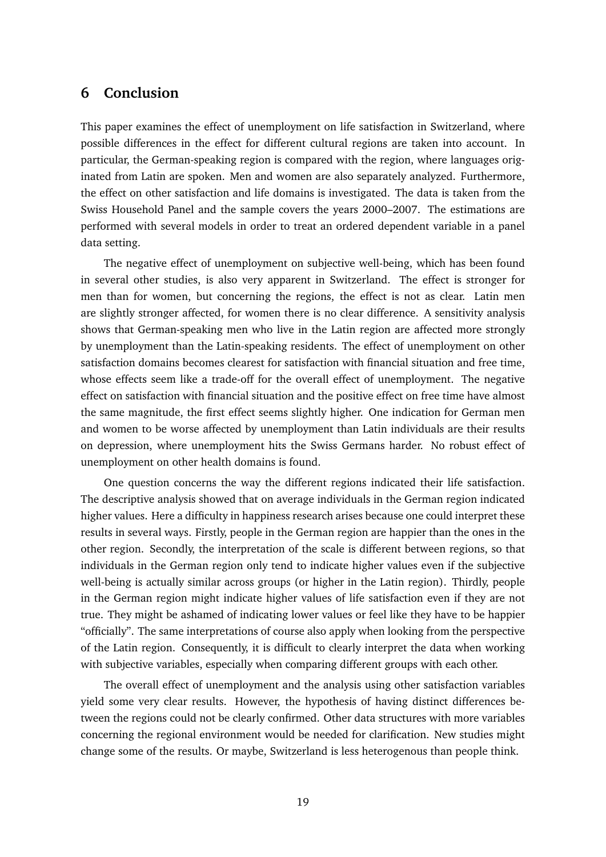# **6 Conclusion**

This paper examines the effect of unemployment on life satisfaction in Switzerland, where possible differences in the effect for different cultural regions are taken into account. In particular, the German-speaking region is compared with the region, where languages originated from Latin are spoken. Men and women are also separately analyzed. Furthermore, the effect on other satisfaction and life domains is investigated. The data is taken from the Swiss Household Panel and the sample covers the years 2000–2007. The estimations are performed with several models in order to treat an ordered dependent variable in a panel data setting.

The negative effect of unemployment on subjective well-being, which has been found in several other studies, is also very apparent in Switzerland. The effect is stronger for men than for women, but concerning the regions, the effect is not as clear. Latin men are slightly stronger affected, for women there is no clear difference. A sensitivity analysis shows that German-speaking men who live in the Latin region are affected more strongly by unemployment than the Latin-speaking residents. The effect of unemployment on other satisfaction domains becomes clearest for satisfaction with financial situation and free time, whose effects seem like a trade-off for the overall effect of unemployment. The negative effect on satisfaction with financial situation and the positive effect on free time have almost the same magnitude, the first effect seems slightly higher. One indication for German men and women to be worse affected by unemployment than Latin individuals are their results on depression, where unemployment hits the Swiss Germans harder. No robust effect of unemployment on other health domains is found.

One question concerns the way the different regions indicated their life satisfaction. The descriptive analysis showed that on average individuals in the German region indicated higher values. Here a difficulty in happiness research arises because one could interpret these results in several ways. Firstly, people in the German region are happier than the ones in the other region. Secondly, the interpretation of the scale is different between regions, so that individuals in the German region only tend to indicate higher values even if the subjective well-being is actually similar across groups (or higher in the Latin region). Thirdly, people in the German region might indicate higher values of life satisfaction even if they are not true. They might be ashamed of indicating lower values or feel like they have to be happier "officially". The same interpretations of course also apply when looking from the perspective of the Latin region. Consequently, it is difficult to clearly interpret the data when working with subjective variables, especially when comparing different groups with each other.

The overall effect of unemployment and the analysis using other satisfaction variables yield some very clear results. However, the hypothesis of having distinct differences between the regions could not be clearly confirmed. Other data structures with more variables concerning the regional environment would be needed for clarification. New studies might change some of the results. Or maybe, Switzerland is less heterogenous than people think.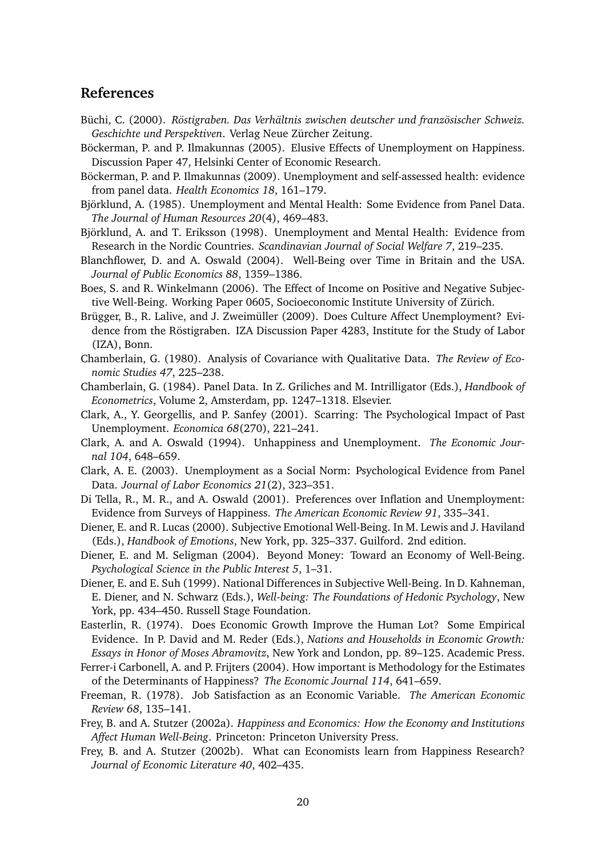## **References**

- Büchi, C. (2000). *Röstigraben. Das Verhältnis zwischen deutscher und französischer Schweiz. Geschichte und Perspektiven*. Verlag Neue Zürcher Zeitung.
- Böckerman, P. and P. Ilmakunnas (2005). Elusive Effects of Unemployment on Happiness. Discussion Paper 47, Helsinki Center of Economic Research.
- Böckerman, P. and P. Ilmakunnas (2009). Unemployment and self-assessed health: evidence from panel data. *Health Economics 18*, 161–179.
- Björklund, A. (1985). Unemployment and Mental Health: Some Evidence from Panel Data. *The Journal of Human Resources 20*(4), 469–483.
- Björklund, A. and T. Eriksson (1998). Unemployment and Mental Health: Evidence from Research in the Nordic Countries. *Scandinavian Journal of Social Welfare 7*, 219–235.
- Blanchflower, D. and A. Oswald (2004). Well-Being over Time in Britain and the USA. *Journal of Public Economics 88*, 1359–1386.
- Boes, S. and R. Winkelmann (2006). The Effect of Income on Positive and Negative Subjective Well-Being. Working Paper 0605, Socioeconomic Institute University of Zürich.
- Brügger, B., R. Lalive, and J. Zweimüller (2009). Does Culture Affect Unemployment? Evidence from the Röstigraben. IZA Discussion Paper 4283, Institute for the Study of Labor (IZA), Bonn.
- Chamberlain, G. (1980). Analysis of Covariance with Qualitative Data. *The Review of Economic Studies 47*, 225–238.
- Chamberlain, G. (1984). Panel Data. In Z. Griliches and M. Intrilligator (Eds.), *Handbook of Econometrics*, Volume 2, Amsterdam, pp. 1247–1318. Elsevier.
- Clark, A., Y. Georgellis, and P. Sanfey (2001). Scarring: The Psychological Impact of Past Unemployment. *Economica 68*(270), 221–241.
- Clark, A. and A. Oswald (1994). Unhappiness and Unemployment. *The Economic Journal 104*, 648–659.
- Clark, A. E. (2003). Unemployment as a Social Norm: Psychological Evidence from Panel Data. *Journal of Labor Economics 21*(2), 323–351.
- Di Tella, R., M. R., and A. Oswald (2001). Preferences over Inflation and Unemployment: Evidence from Surveys of Happiness. *The American Economic Review 91*, 335–341.
- Diener, E. and R. Lucas (2000). Subjective Emotional Well-Being. In M. Lewis and J. Haviland (Eds.), *Handbook of Emotions*, New York, pp. 325–337. Guilford. 2nd edition.
- Diener, E. and M. Seligman (2004). Beyond Money: Toward an Economy of Well-Being. *Psychological Science in the Public Interest 5*, 1–31.
- Diener, E. and E. Suh (1999). National Differences in Subjective Well-Being. In D. Kahneman, E. Diener, and N. Schwarz (Eds.), *Well-being: The Foundations of Hedonic Psychology*, New York, pp. 434–450. Russell Stage Foundation.
- Easterlin, R. (1974). Does Economic Growth Improve the Human Lot? Some Empirical Evidence. In P. David and M. Reder (Eds.), *Nations and Households in Economic Growth: Essays in Honor of Moses Abramovitz*, New York and London, pp. 89–125. Academic Press.
- Ferrer-i Carbonell, A. and P. Frijters (2004). How important is Methodology for the Estimates of the Determinants of Happiness? *The Economic Journal 114*, 641–659.
- Freeman, R. (1978). Job Satisfaction as an Economic Variable. *The American Economic Review 68*, 135–141.
- Frey, B. and A. Stutzer (2002a). *Happiness and Economics: How the Economy and Institutions Affect Human Well-Being*. Princeton: Princeton University Press.
- Frey, B. and A. Stutzer (2002b). What can Economists learn from Happiness Research? *Journal of Economic Literature 40*, 402–435.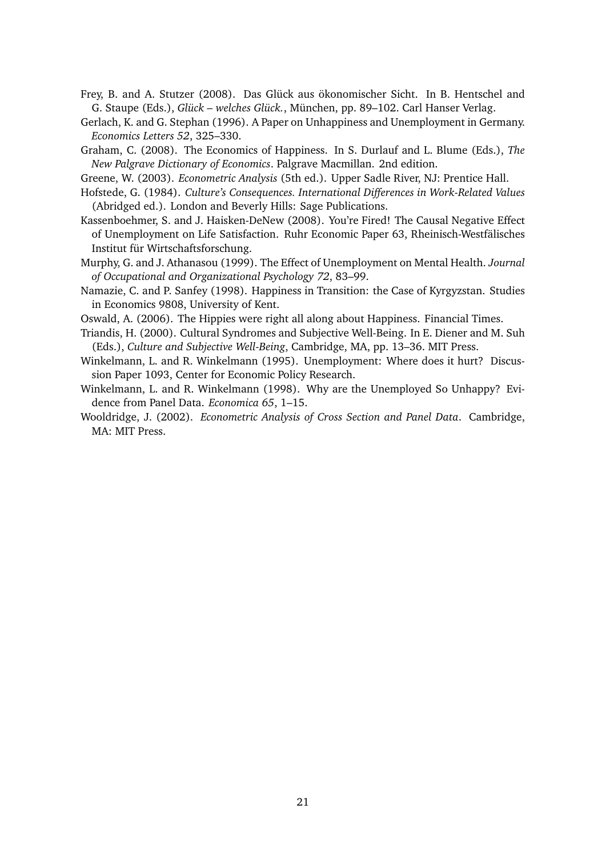- Frey, B. and A. Stutzer (2008). Das Glück aus ökonomischer Sicht. In B. Hentschel and G. Staupe (Eds.), *Glück – welches Glück.*, München, pp. 89–102. Carl Hanser Verlag.
- Gerlach, K. and G. Stephan (1996). A Paper on Unhappiness and Unemployment in Germany. *Economics Letters 52*, 325–330.
- Graham, C. (2008). The Economics of Happiness. In S. Durlauf and L. Blume (Eds.), *The New Palgrave Dictionary of Economics*. Palgrave Macmillan. 2nd edition.
- Greene, W. (2003). *Econometric Analysis* (5th ed.). Upper Sadle River, NJ: Prentice Hall.
- Hofstede, G. (1984). *Culture's Consequences. International Differences in Work-Related Values* (Abridged ed.). London and Beverly Hills: Sage Publications.
- Kassenboehmer, S. and J. Haisken-DeNew (2008). You're Fired! The Causal Negative Effect of Unemployment on Life Satisfaction. Ruhr Economic Paper 63, Rheinisch-Westfälisches Institut für Wirtschaftsforschung.
- Murphy, G. and J. Athanasou (1999). The Effect of Unemployment on Mental Health. *Journal of Occupational and Organizational Psychology 72*, 83–99.
- Namazie, C. and P. Sanfey (1998). Happiness in Transition: the Case of Kyrgyzstan. Studies in Economics 9808, University of Kent.
- Oswald, A. (2006). The Hippies were right all along about Happiness. Financial Times.
- Triandis, H. (2000). Cultural Syndromes and Subjective Well-Being. In E. Diener and M. Suh (Eds.), *Culture and Subjective Well-Being*, Cambridge, MA, pp. 13–36. MIT Press.
- Winkelmann, L. and R. Winkelmann (1995). Unemployment: Where does it hurt? Discussion Paper 1093, Center for Economic Policy Research.
- Winkelmann, L. and R. Winkelmann (1998). Why are the Unemployed So Unhappy? Evidence from Panel Data. *Economica 65*, 1–15.
- Wooldridge, J. (2002). *Econometric Analysis of Cross Section and Panel Data*. Cambridge, MA: MIT Press.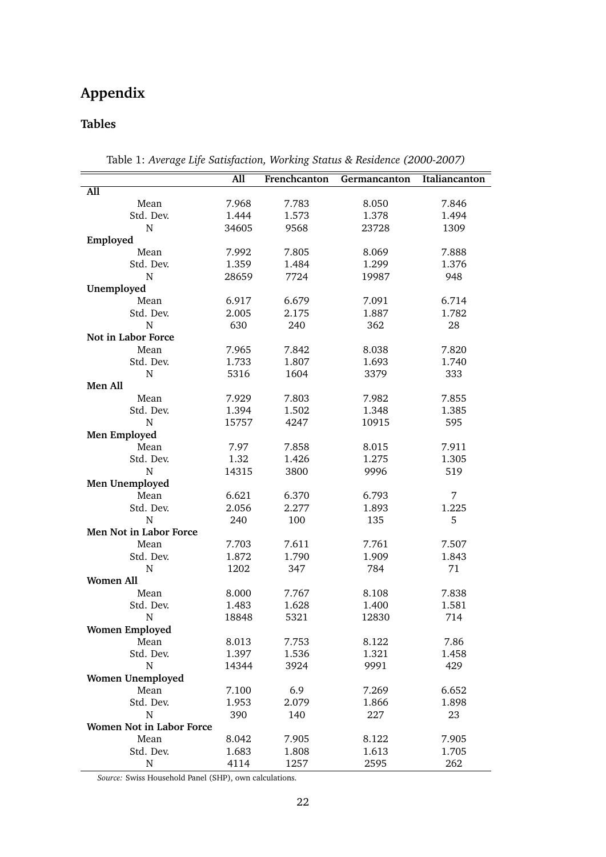# **Appendix**

# **Tables**

|                                 | All   | Frenchcanton | Germancanton | Italiancanton |
|---------------------------------|-------|--------------|--------------|---------------|
| All                             |       |              |              |               |
| Mean                            | 7.968 | 7.783        | 8.050        | 7.846         |
| Std. Dev.                       | 1.444 | 1.573        | 1.378        | 1.494         |
| N                               | 34605 | 9568         | 23728        | 1309          |
| Employed                        |       |              |              |               |
| Mean                            | 7.992 | 7.805        | 8.069        | 7.888         |
| Std. Dev.                       | 1.359 | 1.484        | 1.299        | 1.376         |
| N                               | 28659 | 7724         | 19987        | 948           |
| Unemployed                      |       |              |              |               |
| Mean                            | 6.917 | 6.679        | 7.091        | 6.714         |
| Std. Dev.                       | 2.005 | 2.175        | 1.887        | 1.782         |
| $\mathbf N$                     | 630   | 240          | 362          | 28            |
| Not in Labor Force              |       |              |              |               |
| Mean                            | 7.965 | 7.842        | 8.038        | 7.820         |
| Std. Dev.                       | 1.733 | 1.807        | 1.693        | 1.740         |
| N                               | 5316  | 1604         | 3379         | 333           |
| Men All                         |       |              |              |               |
| Mean                            | 7.929 | 7.803        | 7.982        | 7.855         |
| Std. Dev.                       | 1.394 | 1.502        | 1.348        | 1.385         |
| N                               | 15757 | 4247         | 10915        | 595           |
| Men Employed                    |       |              |              |               |
| Mean                            | 7.97  | 7.858        | 8.015        | 7.911         |
| Std. Dev.                       | 1.32  | 1.426        | 1.275        | 1.305         |
| N                               | 14315 | 3800         | 9996         | 519           |
| Men Unemployed                  |       |              |              |               |
| Mean                            | 6.621 | 6.370        | 6.793        | 7             |
| Std. Dev.                       | 2.056 | 2.277        | 1.893        | 1.225         |
| N                               | 240   | 100          | 135          | 5             |
| Men Not in Labor Force          |       |              |              |               |
|                                 |       |              |              |               |
| Mean                            | 7.703 | 7.611        | 7.761        | 7.507         |
| Std. Dev.                       | 1.872 | 1.790        | 1.909        | 1.843         |
| N                               | 1202  | 347          | 784          | 71            |
| <b>Women All</b>                |       |              |              |               |
| Mean                            | 8.000 | 7.767        | 8.108        | 7.838         |
| Std. Dev.                       | 1.483 | 1.628        | 1.400        | 1.581         |
| N                               | 18848 | 5321         | 12830        | 714           |
| <b>Women Employed</b>           |       |              |              |               |
| Mean                            | 8.013 | 7.753        | 8.122        | 7.86          |
| Std. Dev.                       | 1.397 | 1.536        | 1.321        | 1.458         |
| $\mathbf N$                     | 14344 | 3924         | 9991         | 429           |
| <b>Women Unemployed</b>         |       |              |              |               |
| Mean                            | 7.100 | 6.9          | 7.269        | 6.652         |
| Std. Dev.                       | 1.953 | 2.079        | 1.866        | 1.898         |
| ${\bf N}$                       | 390   | 140          | 227          | 23            |
| <b>Women Not in Labor Force</b> |       |              |              |               |
| Mean                            | 8.042 | 7.905        | 8.122        | 7.905         |
| Std. Dev.                       | 1.683 | 1.808        | 1.613        | 1.705         |
| ${\bf N}$                       | 4114  | 1257         | 2595         | 262           |

Table 1: *Average Life Satisfaction, Working Status & Residence (2000-2007)*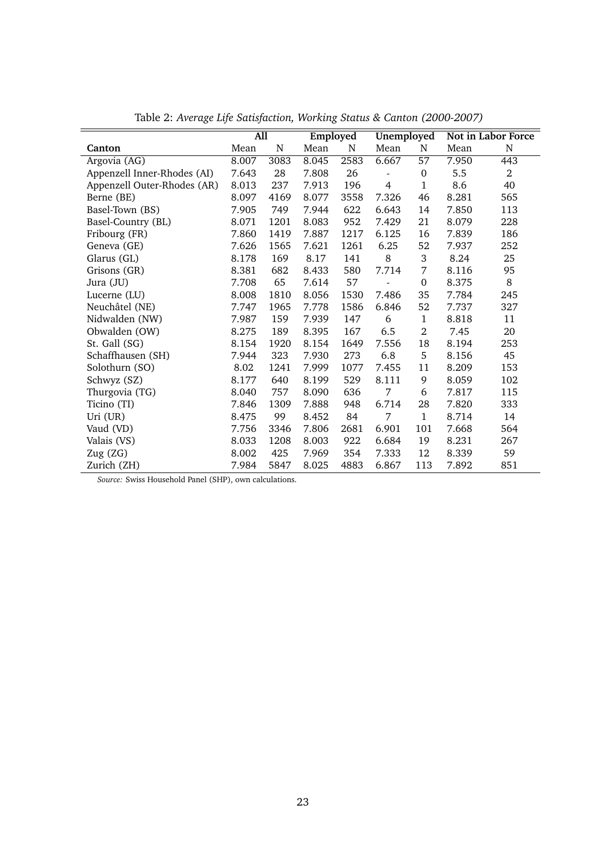|                             |       | $\overline{All}$ |       | Employed | <b>Unemployed</b> |                  |       | Not in Labor Force |
|-----------------------------|-------|------------------|-------|----------|-------------------|------------------|-------|--------------------|
| Canton                      | Mean  | N                | Mean  | N        | Mean              | N                | Mean  | N                  |
| Argovia (AG)                | 8.007 | 3083             | 8.045 | 2583     | 6.667             | 57               | 7.950 | 443                |
| Appenzell Inner-Rhodes (AI) | 7.643 | 28               | 7.808 | 26       |                   | $\boldsymbol{0}$ | 5.5   | $\overline{2}$     |
| Appenzell Outer-Rhodes (AR) | 8.013 | 237              | 7.913 | 196      | 4                 | 1                | 8.6   | 40                 |
| Berne (BE)                  | 8.097 | 4169             | 8.077 | 3558     | 7.326             | 46               | 8.281 | 565                |
| Basel-Town (BS)             | 7.905 | 749              | 7.944 | 622      | 6.643             | 14               | 7.850 | 113                |
| Basel-Country (BL)          | 8.071 | 1201             | 8.083 | 952      | 7.429             | 21               | 8.079 | 228                |
| Fribourg (FR)               | 7.860 | 1419             | 7.887 | 1217     | 6.125             | 16               | 7.839 | 186                |
| Geneva (GE)                 | 7.626 | 1565             | 7.621 | 1261     | 6.25              | 52               | 7.937 | 252                |
| Glarus (GL)                 | 8.178 | 169              | 8.17  | 141      | 8                 | 3                | 8.24  | 25                 |
| Grisons (GR)                | 8.381 | 682              | 8.433 | 580      | 7.714             | 7                | 8.116 | 95                 |
| Jura (JU)                   | 7.708 | 65               | 7.614 | 57       |                   | $\boldsymbol{0}$ | 8.375 | 8                  |
| Lucerne (LU)                | 8.008 | 1810             | 8.056 | 1530     | 7.486             | 35               | 7.784 | 245                |
| Neuchâtel (NE)              | 7.747 | 1965             | 7.778 | 1586     | 6.846             | 52               | 7.737 | 327                |
| Nidwalden (NW)              | 7.987 | 159              | 7.939 | 147      | 6                 | 1                | 8.818 | 11                 |
| Obwalden (OW)               | 8.275 | 189              | 8.395 | 167      | 6.5               | $\overline{2}$   | 7.45  | 20                 |
| St. Gall (SG)               | 8.154 | 1920             | 8.154 | 1649     | 7.556             | 18               | 8.194 | 253                |
| Schaffhausen (SH)           | 7.944 | 323              | 7.930 | 273      | 6.8               | 5                | 8.156 | 45                 |
| Solothurn (SO)              | 8.02  | 1241             | 7.999 | 1077     | 7.455             | 11               | 8.209 | 153                |
| Schwyz (SZ)                 | 8.177 | 640              | 8.199 | 529      | 8.111             | 9                | 8.059 | 102                |
| Thurgovia (TG)              | 8.040 | 757              | 8.090 | 636      | 7                 | 6                | 7.817 | 115                |
| Ticino (TI)                 | 7.846 | 1309             | 7.888 | 948      | 6.714             | 28               | 7.820 | 333                |
| Uri (UR)                    | 8.475 | 99               | 8.452 | 84       | 7                 | $\mathbf{1}$     | 8.714 | 14                 |
| Vaud (VD)                   | 7.756 | 3346             | 7.806 | 2681     | 6.901             | 101              | 7.668 | 564                |
| Valais (VS)                 | 8.033 | 1208             | 8.003 | 922      | 6.684             | 19               | 8.231 | 267                |
| Zug (ZG)                    | 8.002 | 425              | 7.969 | 354      | 7.333             | 12               | 8.339 | 59                 |
| Zurich (ZH)                 | 7.984 | 5847             | 8.025 | 4883     | 6.867             | 113              | 7.892 | 851                |

Table 2: *Average Life Satisfaction, Working Status & Canton (2000-2007)*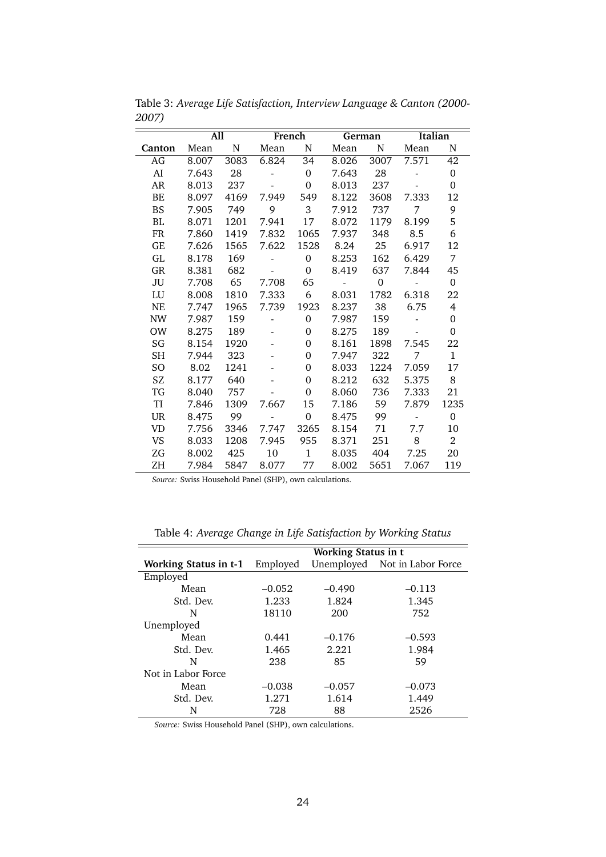|           | All   |      |                          | French         | German            |                | Italian    |                |
|-----------|-------|------|--------------------------|----------------|-------------------|----------------|------------|----------------|
| Canton    | Mean  | N    | Mean                     | N              | Mean              | N              | Mean       | N              |
| AG        | 8.007 | 3083 | 6.824                    | 34             | 8.026             | 3007           | 7.571      | 42             |
| AI        | 7.643 | 28   |                          | $\Omega$       | 7.643             | 28             |            | $\Omega$       |
| AR        | 8.013 | 237  |                          | $\Omega$       | 8.013             | 237            |            | $\Omega$       |
| BE        | 8.097 | 4169 | 7.949                    | 549            | 8.122             | 3608           | 7.333      | 12             |
| <b>BS</b> | 7.905 | 749  | $\overline{9}$           | 3 <sup>1</sup> | 7.912             | 737            | 7          | 9              |
| <b>BL</b> | 8.071 | 1201 | 7.941                    | 17             | 8.072             | 1179           | 8.199      | 5              |
| <b>FR</b> | 7.860 | 1419 | 7.832                    | 1065           | 7.937             | 348            | 8.5        | 6              |
| GE        | 7.626 | 1565 | 7.622                    | 1528           | 8.24              | 25             | 6.917      | 12             |
| GL        | 8.178 | 169  | $\overline{\phantom{0}}$ | $\Omega$       | 8.253             | 162            | 6.429      | 7              |
| GR        | 8.381 | 682  | $\overline{\phantom{a}}$ | $\Omega$       | 8.419             | 637            | 7.844      | 45             |
| JU        | 7.708 | 65   | 7.708                    | 65             | <b>Contractor</b> | $\overline{0}$ | $\sim 100$ | $\Omega$       |
| LU        | 8.008 | 1810 | 7.333                    | 6              | 8.031             | 1782           | 6.318      | 22             |
| <b>NE</b> | 7.747 | 1965 | 7.739                    | 1923           | 8.237             | 38             | 6.75       | 4              |
| <b>NW</b> | 7.987 | 159  | <b>Contract Contract</b> | $\Omega$       | 7.987             | 159            | $\sim$ $-$ | $\Omega$       |
| OW        | 8.275 | 189  | $\overline{\phantom{a}}$ | $\Omega$       | 8.275             | 189            |            | 0              |
| SG        | 8.154 | 1920 |                          | $\Omega$       | 8.161             | 1898           | 7.545      | 22             |
| <b>SH</b> | 7.944 | 323  |                          | $\Omega$       | 7.947             | 322            | 7          | $\mathbf{1}$   |
| SO        | 8.02  | 1241 |                          | $\Omega$       | 8.033             | 1224           | 7.059      | 17             |
| SZ.       | 8.177 | 640  |                          | $\Omega$       | 8.212             | 632            | 5.375      | 8              |
| TG        | 8.040 | 757  |                          | $\Omega$       | 8.060             | 736            | 7.333      | 21             |
| TI        | 7.846 | 1309 | 7.667                    | 15             | 7.186             | 59             | 7.879      | 1235           |
| <b>UR</b> | 8.475 | 99   |                          | $\overline{0}$ | 8.475             | 99             | $\sim$ $-$ | $\Omega$       |
| <b>VD</b> | 7.756 | 3346 | 7.747                    | 3265           | 8.154             | 71             | 7.7        | 10             |
| <b>VS</b> | 8.033 | 1208 | 7.945                    | 955            | 8.371             | 251            | - 8        | $\overline{2}$ |
| ZG        | 8.002 | 425  | 10                       | $\mathbf{1}$   | 8.035             | 404            | 7.25       | 20             |
| ΖH        | 7.984 | 5847 | 8.077                    | 77             | 8.002             | 5651           | 7.067      | 119            |

Table 3: *Average Life Satisfaction, Interview Language & Canton (2000- 2007)*

|                              | <b>Working Status in t</b> |          |                               |  |  |
|------------------------------|----------------------------|----------|-------------------------------|--|--|
| <b>Working Status in t-1</b> | Employed                   |          | Unemployed Not in Labor Force |  |  |
| Employed                     |                            |          |                               |  |  |
| Mean                         | $-0.052$                   | $-0.490$ | $-0.113$                      |  |  |
| Std. Dev.                    | 1.233                      | 1.824    | 1.345                         |  |  |
| N                            | 18110                      | 200      | 752                           |  |  |
| Unemployed                   |                            |          |                               |  |  |
| Mean                         | 0.441                      | $-0.176$ | $-0.593$                      |  |  |
| Std. Dev.                    | 1.465                      | 2.221    | 1.984                         |  |  |
| N                            | 238                        | 85       | 59                            |  |  |
| Not in Labor Force           |                            |          |                               |  |  |
| Mean                         | $-0.038$                   | $-0.057$ | $-0.073$                      |  |  |
| Std. Dev.                    | 1.271                      | 1.614    | 1.449                         |  |  |
| N                            | 728                        | 88       | 2526                          |  |  |

Table 4: *Average Change in Life Satisfaction by Working Status*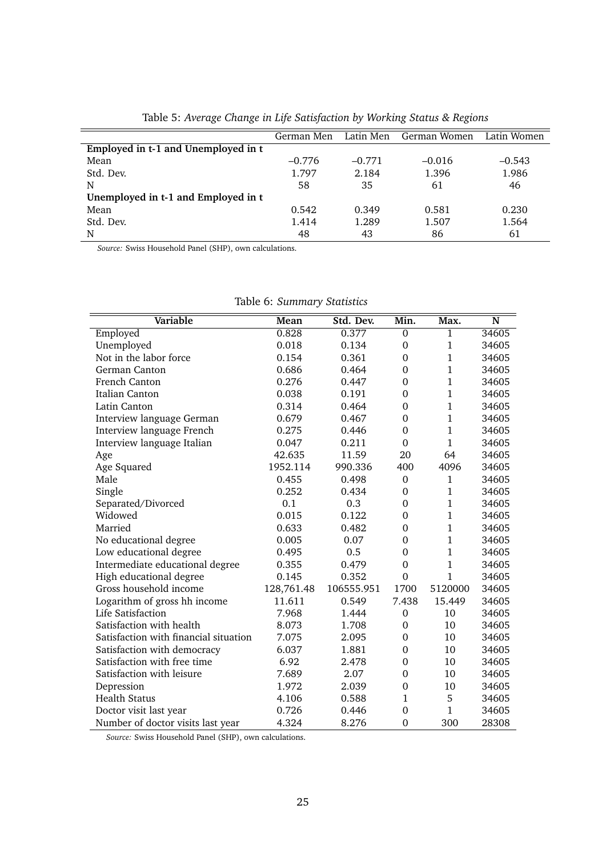|                                     | German Men |          | Latin Men German Women | Latin Women |
|-------------------------------------|------------|----------|------------------------|-------------|
| Employed in t-1 and Unemployed in t |            |          |                        |             |
| Mean                                | $-0.776$   | $-0.771$ | $-0.016$               | $-0.543$    |
| Std. Dev.                           | 1.797      | 2.184    | 1.396                  | 1.986       |
| N                                   | 58         | 35       | 61                     | 46          |
| Unemployed in t-1 and Employed in t |            |          |                        |             |
| Mean                                | 0.542      | 0.349    | 0.581                  | 0.230       |
| Std. Dev.                           | 1.414      | 1.289    | 1.507                  | 1.564       |
| N                                   | 48         | 43       | 86                     | 61          |

Table 5: *Average Change in Life Satisfaction by Working Status & Regions*

| <b>Variable</b>                       | Mean       | Std. Dev.  | Min.             | Max.         | N     |
|---------------------------------------|------------|------------|------------------|--------------|-------|
| Employed                              | 0.828      | 0.377      | $\mathbf 0$      | $\mathbf 1$  | 34605 |
| Unemployed                            | 0.018      | 0.134      | $\mathbf{0}$     | $\mathbf 1$  | 34605 |
| Not in the labor force                | 0.154      | 0.361      | $\mathbf{0}$     | $\mathbf{1}$ | 34605 |
| German Canton                         | 0.686      | 0.464      | $\mathbf{0}$     | $\mathbf{1}$ | 34605 |
| French Canton                         | 0.276      | 0.447      | $\Omega$         | $\mathbf{1}$ | 34605 |
| <b>Italian Canton</b>                 | 0.038      | 0.191      | $\boldsymbol{0}$ | $\mathbf{1}$ | 34605 |
| Latin Canton                          | 0.314      | 0.464      | $\boldsymbol{0}$ | $\mathbf{1}$ | 34605 |
| Interview language German             | 0.679      | 0.467      | $\Omega$         | $\mathbf 1$  | 34605 |
| Interview language French             | 0.275      | 0.446      | $\theta$         | $\mathbf{1}$ | 34605 |
| Interview language Italian            | 0.047      | 0.211      | $\Omega$         | $\mathbf{1}$ | 34605 |
| Age                                   | 42.635     | 11.59      | 20               | 64           | 34605 |
| Age Squared                           | 1952.114   | 990.336    | 400              | 4096         | 34605 |
| Male                                  | 0.455      | 0.498      | $\boldsymbol{0}$ | $\mathbf 1$  | 34605 |
| Single                                | 0.252      | 0.434      | $\overline{0}$   | $\mathbf{1}$ | 34605 |
| Separated/Divorced                    | 0.1        | 0.3        | $\mathbf{0}$     | $\mathbf{1}$ | 34605 |
| Widowed                               | 0.015      | 0.122      | $\overline{0}$   | $\mathbf{1}$ | 34605 |
| Married                               | 0.633      | 0.482      | $\Omega$         | $\mathbf{1}$ | 34605 |
| No educational degree                 | 0.005      | 0.07       | $\Omega$         | $\mathbf{1}$ | 34605 |
| Low educational degree                | 0.495      | 0.5        | $\theta$         | $\mathbf{1}$ | 34605 |
| Intermediate educational degree       | 0.355      | 0.479      | $\overline{0}$   | $\mathbf{1}$ | 34605 |
| High educational degree               | 0.145      | 0.352      | $\overline{0}$   | $\mathbf 1$  | 34605 |
| Gross household income                | 128,761.48 | 106555.951 | 1700             | 5120000      | 34605 |
| Logarithm of gross hh income          | 11.611     | 0.549      | 7.438            | 15.449       | 34605 |
| Life Satisfaction                     | 7.968      | 1.444      | $\mathbf 0$      | 10           | 34605 |
| Satisfaction with health              | 8.073      | 1.708      | $\mathbf{0}$     | 10           | 34605 |
| Satisfaction with financial situation | 7.075      | 2.095      | $\mathbf{0}$     | 10           | 34605 |
| Satisfaction with democracy           | 6.037      | 1.881      | $\mathbf{0}$     | 10           | 34605 |
| Satisfaction with free time           | 6.92       | 2.478      | $\Omega$         | 10           | 34605 |
| Satisfaction with leisure             | 7.689      | 2.07       | $\boldsymbol{0}$ | 10           | 34605 |
| Depression                            | 1.972      | 2.039      | $\boldsymbol{0}$ | 10           | 34605 |
| <b>Health Status</b>                  | 4.106      | 0.588      | 1                | 5            | 34605 |
| Doctor visit last year                | 0.726      | 0.446      | $\mathbf{0}$     | $\mathbf{1}$ | 34605 |
| Number of doctor visits last year     | 4.324      | 8.276      | $\overline{0}$   | 300          | 28308 |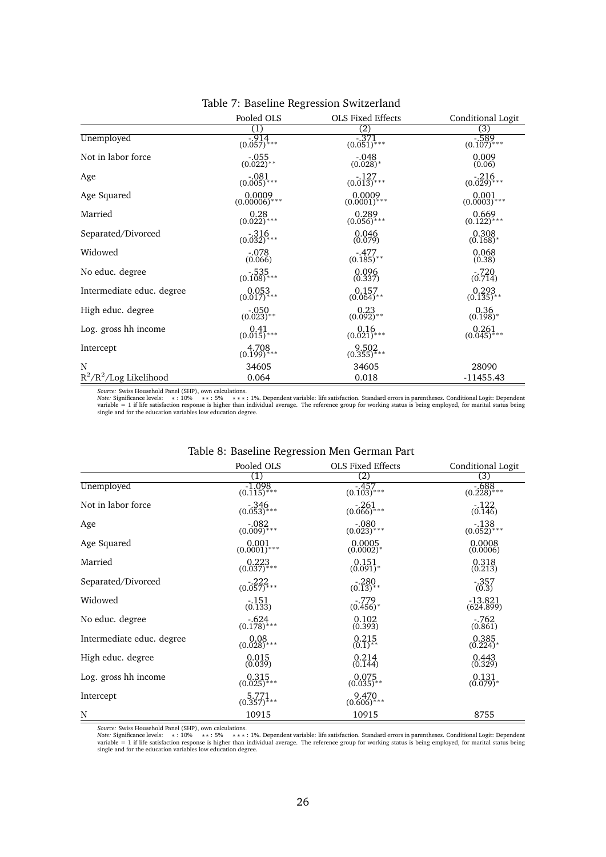|                           | Pooled OLS               | <b>OLS Fixed Effects</b>            | Conditional Logit               |
|---------------------------|--------------------------|-------------------------------------|---------------------------------|
|                           | (1)                      | (2)                                 | (3)                             |
| Unemployed                | $-914$<br>(0.057)***     | $-371$<br>(0.051)***                | $-589$<br>(0.107)***            |
| Not in labor force        | $-0.055$<br>(0.022)**    | $-048$<br>$(0.028)*$                | $0.009$<br>$(0.06)$             |
| Age                       | $-081$<br>(0.005)***     | $-127$<br>(0.013)***                | $-216$<br>(0.029)***            |
| Age Squared               | $0.0009$<br>(0.00006)*** | 0.0009<br>$(0.0001)$ <sup>***</sup> | 0.001<br>$(0.0003)$ ***         |
| Married                   | $0.28$<br>(0.022)***     | $0.289$<br>(0.056)***               | $0.669$<br>$(0.122)***$         |
| Separated/Divorced        | $-316$<br>$(0.032)$ ***  | 0.046<br>(0.079)                    | 0.308<br>$(0.168)$ <sup>*</sup> |
| Widowed                   | $-.078$<br>(0.066)       | $-477$<br>(0.185)**                 | 0.068<br>(0.38)                 |
| No educ. degree           | $-535$<br>(0.108)***     | $0.096$<br>$(0.337)$                | (0.714)                         |
| Intermediate educ. degree | $0.053$<br>(0.017)***    | $0.157$<br>(0.064)**                | $0.293$<br>(0.135)**            |
| High educ. degree         | $-0.050$<br>(0.023)**    | $0.23$<br>(0.092)**                 | $0.36$<br>$(0.198)*$            |
| Log. gross hh income      | $0.41$<br>(0.015)***     | $0.16$<br>$(0.021)***$              | $0.261$<br>$(0.045)$ ***        |
| Intercept                 | $4.708$<br>(0.199)***    | $9.502$<br>(0.355)***               |                                 |
| N                         | 34605                    | 34605                               | 28090                           |
| $R^2/R^2/Log$ Likelihood  | 0.064                    | 0.018                               | $-11455.43$                     |

### Table 7: Baseline Regression Switzerland

*Source: S*wiss Household Panel (SHP), own calculations.<br>*Note: S*ignificance levels: \* : 10% \*\* : 5% \*\* : 1%. Dependent variable: life satisfaction. Standard errors in parentheses. Conditional Logit: Dependent

|                           |                                                  | $\sigma$ . Basenne riegi ession men German i art |                                     |  |  |  |  |  |
|---------------------------|--------------------------------------------------|--------------------------------------------------|-------------------------------------|--|--|--|--|--|
|                           | Pooled OLS                                       | OLS Fixed Effects                                | Conditional Logit                   |  |  |  |  |  |
|                           |                                                  | $\overline{(2)}$                                 | (3)                                 |  |  |  |  |  |
| Unemployed                | $-1.098$<br>$(0.\overline{1}1\overline{5})^{**}$ | $-457$<br>(0.103)***                             | $-688$<br>$(0.228)$ <sup>****</sup> |  |  |  |  |  |
| Not in labor force        | $-346$<br>(0.053)***                             | $-.261$<br>$(0.066)^{***}$                       | $-122$<br>(0.146)                   |  |  |  |  |  |
| Age                       | $-082$<br>(0.009)***                             | $-080$<br>$(0.023)***$                           | $-138$<br>$(0.052)$ <sup>****</sup> |  |  |  |  |  |
| Age Squared               | 0.001<br>$(0.\overline{0001})$ <sup>***</sup>    | 0.0005<br>$(0.0002)*$                            | 0.0008<br>(0.0006)                  |  |  |  |  |  |
| Married                   | $0.223$<br>(0.037)***                            | 0.151<br>$(0.091)^*$                             | 0.318<br>(0.213)                    |  |  |  |  |  |
| Separated/Divorced        | $-222$<br>(0.057)***                             | $-280$<br>(0.13)**                               | $-.357$<br>(0.3)                    |  |  |  |  |  |
| Widowed                   | $-.151$<br>(0.133)                               | $-.779$<br>$(0.456)^*$                           | $-13.821$<br>(624.899)              |  |  |  |  |  |
| No educ. degree           | $-624$<br>(0.178)***                             | 0.102<br>(0.393)                                 | $-.762$<br>(0.861)                  |  |  |  |  |  |
| Intermediate educ. degree | $0.08$<br>(0.028)***                             | 0.215<br>$(0.1)$ **                              | 0.385<br>$(0.224)^*$                |  |  |  |  |  |
| High educ. degree         | 0.015<br>(0.039)                                 | 0.214<br>(0.144)                                 | 0.443<br>(0.329)                    |  |  |  |  |  |
| Log. gross hh income      | $0.315$<br>(0.025)***                            | 0.075<br>$(0.035)$ **                            | 0.131<br>$(0.079)^*$                |  |  |  |  |  |
| Intercept                 | $5.771$<br>(0.357)***                            | 9.470<br>$(0.606)$ ***                           |                                     |  |  |  |  |  |
| N                         | 10915                                            | 10915                                            | 8755                                |  |  |  |  |  |

# Table 8: Baseline Regression Men German Part

Source: Swiss Household Panel (SHP), own calculations.<br>*Note:* Significance levels: ∗: 10% ∗\*: 5% ∗\*: \*5% hendent variable: life satisfaction. Standard errors in parentheses. Conditional Logit: Dependent<br>var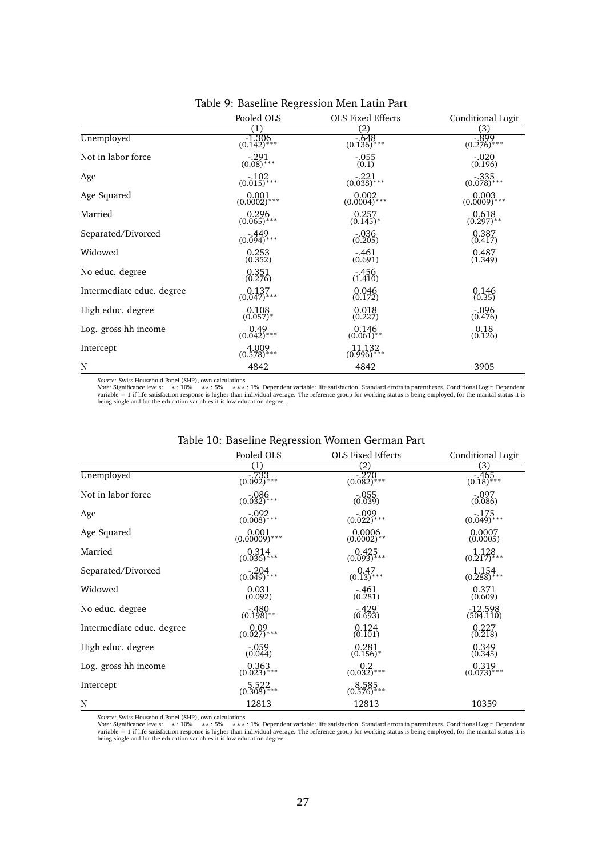|                           | Pooled OLS                     | <b>OLS Fixed Effects</b> | Conditional Logit      |
|---------------------------|--------------------------------|--------------------------|------------------------|
|                           | (1)                            | (2)                      | (3)                    |
| Unemployed                | $\frac{-1.306}{(0.142)^{***}}$ | $-648$<br>(0.136)***     | $-899$<br>(0.276)***   |
| Not in labor force        | $-291$<br>(0.08)***            | $-0.55$<br>(0.1)         | $-.020$<br>(0.196)     |
| Age                       | $-102$<br>(0.015)***           | $-221$<br>(0.038)***     | $-335$<br>(0.078)***   |
| Age Squared               | $0.001$<br>(0.0002)***         | $0.002$<br>(0.0004)***   | $0.003$<br>(0.0009)*** |
| Married                   | 0.296<br>$(0.065)$ ***         | 0.257<br>$(0.145)^*$     | 0.618<br>$(0.297)$ **  |
| Separated/Divorced        | $-449$<br>(0.094)***           | $-0.36$<br>(0.205)       | 0.387<br>(0.417)       |
| Widowed                   | 0.253<br>(0.352)               | $.461$<br>(0.691)        | $0.487$<br>$(1.349)$   |
| No educ. degree           | $0.351$<br>$(0.276)$           | $\frac{.456}{(1.410)}$   |                        |
| Intermediate educ. degree | $0.137$<br>(0.047)***          | $0.046$<br>$(0.172)$     | $0.146$<br>$(0.35)$    |
| High educ. degree         | $0.108$<br>(0.057)*            | $0.018$<br>$(0.227)$     | $.096$<br>(0.476)      |
| Log. gross hh income      | $0.49$<br>(0.042)***           | $0.146$<br>$(0.061)$ **  | $0.18$<br>$(0.126)$    |
| Intercept                 | $4.009$<br>(0.578)***          | 11.132<br>$(0.996)^{**}$ |                        |
| N                         | 4842                           | 4842                     | 3905                   |

### Table 9: Baseline Regression Men Latin Part

*Source: S*wiss Household Panel (SHP), own calculations.<br>*Note: S*ignificance levels: \* : 10% \* \* : 5% \* \* \* : 1%. Dependent variable: life satisfaction. Standard errors in parentheses. Conditional Logit: Depen

|                           | Pooled OLS                   | <b>OLS Fixed Effects</b>          | Conditional Logit                 |
|---------------------------|------------------------------|-----------------------------------|-----------------------------------|
|                           | (1)                          | (2)                               | (3)                               |
| Unemployed                | $\frac{-733}{(0.092)^{***}}$ | $\frac{-270}{(0.082)^{***}}$      | $-46\overline{5}$<br>(0.18)***    |
| Not in labor force        | $-086$<br>(0.032)***         | $-.055$<br>(0.039)                | $-.097$<br>(0.086)                |
| Age                       | $-0.002$<br>(0.008)***       | $-099$<br>$(0.022)***$            | $-175$<br>(0.049)***              |
| Age Squared               | $0.001$<br>(0.00009)***      | $0.0006$<br>(0.0002)**            | 0.0007<br>(0.0005)                |
| Married                   | $0.314$<br>$(0.036)$ ***     | 0.425<br>$(0.093)$ <sup>***</sup> | $1.128$<br>(0.217)***             |
| Separated/Divorced        | $-204$<br>$(0.049)$ ***      | $0.47$<br>$(0.13)$ ***            | $1.154$<br>(0.288)***             |
| Widowed                   | 0.031<br>(0.092)             | $-461$<br>(0.281)                 | 0.371<br>(0.609)                  |
| No educ. degree           | $-480$<br>(0.198)**          | $-429$<br>(0.693)                 | $-12.598$<br>(504.110)            |
| Intermediate educ. degree | $0.09$<br>(0.027)***         | 0.124<br>(0.101)                  | 0.227<br>(0.218)                  |
| High educ. degree         | $-.059$<br>(0.044)           | 0.281<br>$(0.156)^*$              | 0.349<br>(0.345)                  |
| Log. gross hh income      | $0.363$<br>(0.023)***        | $0.2$<br>(0.032)***               | 0.319<br>$(0.073)$ <sup>***</sup> |
| Intercept                 | $5.522$<br>(0.308)***        | $8.585$<br>(0.576)***             |                                   |
| N                         | 12813                        | 12813                             | 10359                             |

### Table 10: Baseline Regression Women German Part

*Source: '*Swiss Household Panel (SHP), own calculations.<br>*Note: 'S*ignificance levels: → \*: 10% → \*\*: 5% → \*\*: 1%. Dependent variable: life satisfaction. Standard errors in parentheses. Conditional Logit: Dependent<br>varia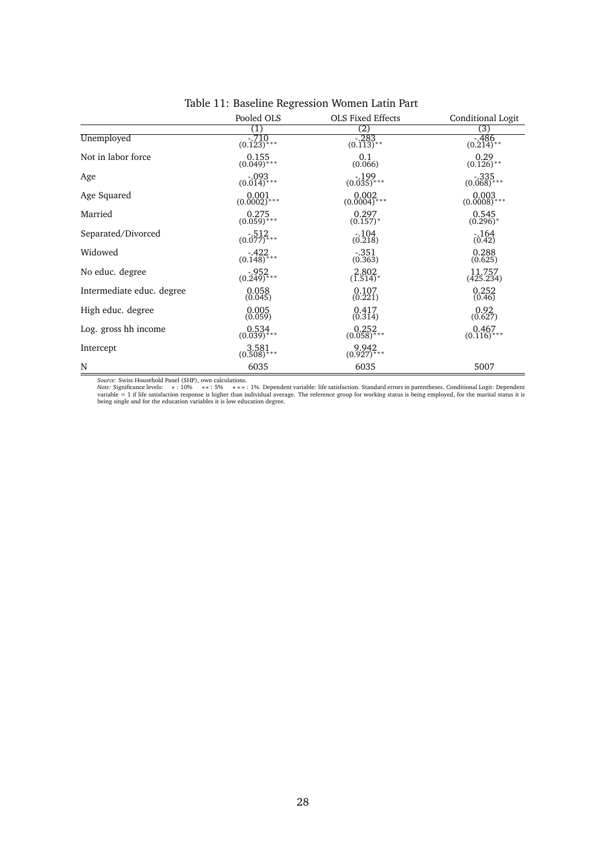|                           | Pooled OLS              | <b>OLS Fixed Effects</b>  | Conditional Logit          |
|---------------------------|-------------------------|---------------------------|----------------------------|
|                           | (1)                     | $\left( 2\right)$         | (3)                        |
| Unemployed                | $-710$<br>(0.123)***    | $\frac{-283}{(0.113)*}$   | $-486$<br>(0.214)**        |
| Not in labor force        | $0.155$<br>(0.049)***   | $\big(0.1\big)_{(0.066)}$ | $0.29$<br>$(0.126)$ **     |
| Age                       | $-093$<br>(0.014)***    | $-199$<br>(0.035)***      | $-335$<br>(0.068)***       |
| Age Squared               | $0.001$<br>(0.0002)***  | $0.002$<br>(0.0004)***    | $0.003$<br>(0.0008)***     |
| Married                   | 0.275<br>$(0.059)$ ***  | $0.297$<br>$(0.157)$ *    | 0.545<br>$(0.296)^*$       |
| Separated/Divorced        | $-512$<br>(0.077)***    | $\frac{.104}{(0.218)}$    | $-164$<br>(0.42)           |
| Widowed                   | $-422$<br>(0.148)***    | $-351$<br>(0.363)         | 0.288<br>(0.625)           |
| No educ. degree           | $-952$<br>(0.249)***    | $2.802$<br>(1.514)*       | $\frac{11.757}{(425.234)}$ |
| Intermediate educ. degree | $0.058$<br>$(0.045)$    | $0.107$<br>$(0.221)$      | $0.252$<br>$(0.46)$        |
| High educ. degree         | $0.005$<br>$(0.059)$    | $0.417$<br>$(0.314)$      | $0.92$<br>$(0.627)$        |
| Log. gross hh income      | $0.534$<br>$(0.039)***$ | $0.252$<br>(0.058)***     | $0.467$<br>$(0.116)***$    |
| Intercept                 | 3.581<br>$(0.508)$ ***  | $9.942$<br>$(0.927)***$   |                            |
| N                         | 6035                    | 6035                      | 5007                       |

# Table 11: Baseline Regression Women Latin Part

*Source: S*wiss Household Panel (SHP), own calculations.<br>*Note: S*ignificance levels: \* : 10% \* \* : 5% \* \* \* : 1%. Dependent variable: life satisfaction. Standard errors in parentheses. Conditional Logit: Depen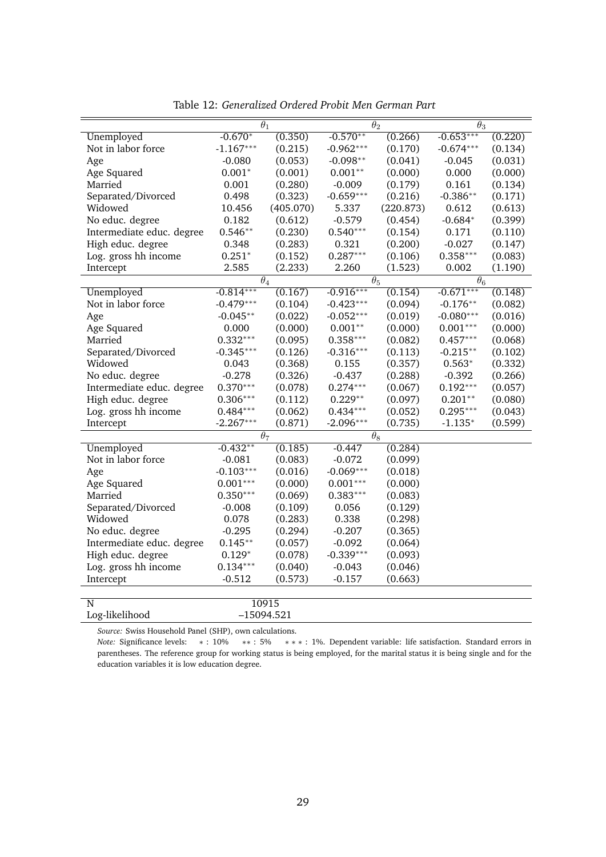|                           | $\theta_1$  |                       | $\theta_2$  |                       | $\theta_3$  |         |
|---------------------------|-------------|-----------------------|-------------|-----------------------|-------------|---------|
| Unemployed                | $-0.670*$   | (0.350)               | $-0.570**$  | (0.266)               | $-0.653***$ | (0.220) |
| Not in labor force        | $-1.167***$ | (0.215)               | $-0.962***$ | (0.170)               | $-0.674***$ | (0.134) |
| Age                       | $-0.080$    | (0.053)               | $-0.098**$  | (0.041)               | $-0.045$    | (0.031) |
| Age Squared               | $0.001*$    | (0.001)               | $0.001**$   | (0.000)               | 0.000       | (0.000) |
| Married                   | 0.001       | (0.280)               | $-0.009$    | (0.179)               | 0.161       | (0.134) |
| Separated/Divorced        | 0.498       | (0.323)               | $-0.659***$ | (0.216)               | $-0.386**$  | (0.171) |
| Widowed                   | 10.456      | (405.070)             | 5.337       | (220.873)             | 0.612       | (0.613) |
| No educ. degree           | 0.182       | (0.612)               | $-0.579$    | (0.454)               | $-0.684*$   | (0.399) |
| Intermediate educ. degree | $0.546**$   | (0.230)               | $0.540***$  | (0.154)               | 0.171       | (0.110) |
| High educ. degree         | 0.348       | (0.283)               | 0.321       | (0.200)               | $-0.027$    | (0.147) |
| Log. gross hh income      | $0.251*$    | (0.152)               | $0.287***$  | (0.106)               | $0.358***$  | (0.083) |
| Intercept                 | 2.585       | (2.233)               | 2.260       | (1.523)               | 0.002       | (1.190) |
|                           |             | $\overline{\theta}_4$ |             | $\overline{\theta_5}$ | $\theta_6$  |         |
| Unemployed                | $-0.814***$ | (0.167)               | $-0.916***$ | (0.154)               | $-0.671***$ | (0.148) |
| Not in labor force        | $-0.479***$ | (0.104)               | $-0.423***$ | (0.094)               | $-0.176**$  | (0.082) |
| Age                       | $-0.045**$  | (0.022)               | $-0.052***$ | (0.019)               | $-0.080***$ | (0.016) |
| Age Squared               | 0.000       | (0.000)               | $0.001**$   | (0.000)               | $0.001***$  | (0.000) |
| Married                   | $0.332***$  | (0.095)               | $0.358***$  | (0.082)               | $0.457***$  | (0.068) |
| Separated/Divorced        | $-0.345***$ | (0.126)               | $-0.316***$ | (0.113)               | $-0.215**$  | (0.102) |
| Widowed                   | 0.043       | (0.368)               | 0.155       | (0.357)               | $0.563*$    | (0.332) |
| No educ. degree           | $-0.278$    | (0.326)               | $-0.437$    | (0.288)               | $-0.392$    | (0.266) |
| Intermediate educ. degree | $0.370***$  | (0.078)               | $0.274***$  | (0.067)               | $0.192***$  | (0.057) |
| High educ. degree         | $0.306***$  | (0.112)               | $0.229**$   | (0.097)               | $0.201**$   | (0.080) |
| Log. gross hh income      | $0.484***$  | (0.062)               | $0.434***$  | (0.052)               | $0.295***$  | (0.043) |
| Intercept                 | $-2.267***$ | (0.871)               | $-2.096***$ | (0.735)               | $-1.135*$   | (0.599) |
|                           |             | $\theta_7$            |             | $\theta_8$            |             |         |
| Unemployed                | $-0.432**$  | (0.185)               | $-0.447$    | (0.284)               |             |         |
| Not in labor force        | $-0.081$    | (0.083)               | $-0.072$    | (0.099)               |             |         |
| Age                       | $-0.103***$ | (0.016)               | $-0.069***$ | (0.018)               |             |         |
| Age Squared               | $0.001***$  | (0.000)               | $0.001***$  | (0.000)               |             |         |
| Married                   | $0.350***$  | (0.069)               | $0.383***$  | (0.083)               |             |         |
| Separated/Divorced        | $-0.008$    | (0.109)               | 0.056       | (0.129)               |             |         |
| Widowed                   | 0.078       | (0.283)               | 0.338       | (0.298)               |             |         |
| No educ. degree           | $-0.295$    | (0.294)               | $-0.207$    | (0.365)               |             |         |
| Intermediate educ. degree | $0.145**$   | (0.057)               | $-0.092$    | (0.064)               |             |         |
| High educ. degree         | $0.129*$    | (0.078)               | $-0.339***$ | (0.093)               |             |         |
| Log. gross hh income      | $0.134***$  | (0.040)               | $-0.043$    | (0.046)               |             |         |
| Intercept                 | $-0.512$    | (0.573)               | $-0.157$    | (0.663)               |             |         |
|                           |             |                       |             |                       |             |         |
| N                         |             | 10915                 |             |                       |             |         |
| Log-likelihood            |             | $-15094.521$          |             |                       |             |         |

Table 12: *Generalized Ordered Probit Men German Part*

*Note:* Significance levels: \*: 10% \*\*: 5% \*\*\*: 1%. Dependent variable: life satisfaction. Standard errors in parentheses. The reference group for working status is being employed, for the marital status it is being single and for the education variables it is low education degree.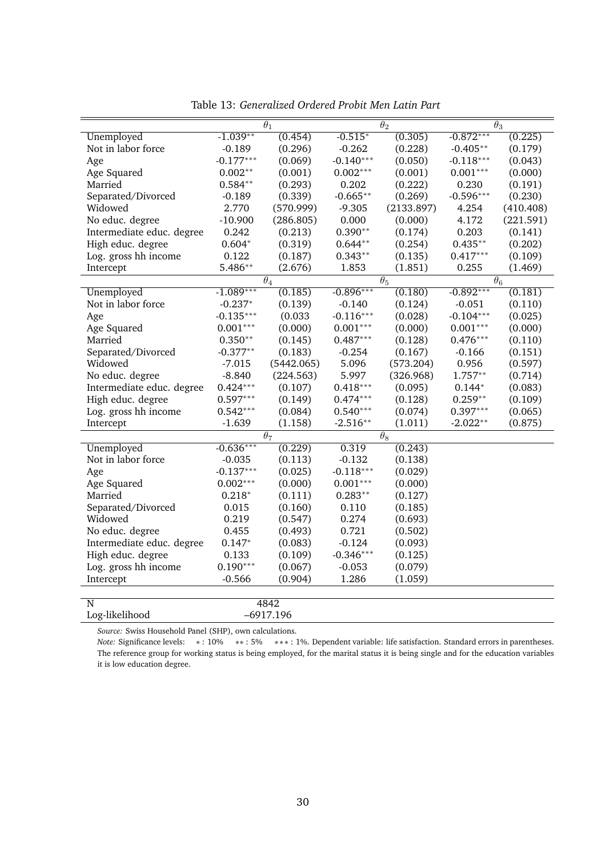|                           |             | $\theta_1$            |             | $\theta_2$            |             | $\theta_3$            |  |
|---------------------------|-------------|-----------------------|-------------|-----------------------|-------------|-----------------------|--|
| Unemployed                | $-1.039**$  | (0.454)               | $-0.515*$   | (0.305)               | $-0.872***$ | (0.225)               |  |
| Not in labor force        | $-0.189$    | (0.296)               | $-0.262$    | (0.228)               | $-0.405**$  | (0.179)               |  |
| Age                       | $-0.177***$ | (0.069)               | $-0.140***$ | (0.050)               | $-0.118***$ | (0.043)               |  |
| Age Squared               | $0.002**$   | (0.001)               | $0.002***$  | (0.001)               | $0.001***$  | (0.000)               |  |
| Married                   | $0.584**$   | (0.293)               | 0.202       | (0.222)               | 0.230       | (0.191)               |  |
| Separated/Divorced        | $-0.189$    | (0.339)               | $-0.665**$  | (0.269)               | $-0.596***$ | (0.230)               |  |
| Widowed                   | 2.770       | (570.999)             | $-9.305$    | (2133.897)            | 4.254       | (410.408)             |  |
| No educ. degree           | $-10.900$   | (286.805)             | 0.000       | (0.000)               | 4.172       | (221.591)             |  |
| Intermediate educ. degree | 0.242       | (0.213)               | $0.390**$   | (0.174)               | 0.203       | (0.141)               |  |
| High educ. degree         | $0.604*$    | (0.319)               | $0.644**$   | (0.254)               | $0.435**$   | (0.202)               |  |
| Log. gross hh income      | 0.122       | (0.187)               | $0.343**$   | (0.135)               | $0.417***$  | (0.109)               |  |
| Intercept                 | 5.486**     | (2.676)               | 1.853       | (1.851)               | 0.255       | (1.469)               |  |
|                           |             | $\overline{\theta_4}$ |             | $\overline{\theta_5}$ |             | $\overline{\theta_6}$ |  |
| Unemployed                | $-1.089***$ | (0.185)               | $-0.896***$ | (0.180)               | $-0.892***$ | (0.181)               |  |
| Not in labor force        | $-0.237*$   | (0.139)               | -0.140      | (0.124)               | $-0.051$    | (0.110)               |  |
| Age                       | $-0.135***$ | (0.033)               | $-0.116***$ | (0.028)               | $-0.104***$ | (0.025)               |  |
| Age Squared               | $0.001***$  | (0.000)               | $0.001***$  | (0.000)               | $0.001***$  | (0.000)               |  |
| Married                   | $0.350**$   | (0.145)               | $0.487***$  | (0.128)               | $0.476***$  | (0.110)               |  |
| Separated/Divorced        | $-0.377**$  | (0.183)               | $-0.254$    | (0.167)               | $-0.166$    | (0.151)               |  |
| Widowed                   | $-7.015$    | (5442.065)            | 5.096       | (573.204)             | 0.956       | (0.597)               |  |
| No educ. degree           | $-8.840$    | (224.563)             | 5.997       | (326.968)             | $1.757**$   | (0.714)               |  |
| Intermediate educ. degree | $0.424***$  | (0.107)               | $0.418***$  | (0.095)               | $0.144*$    | (0.083)               |  |
| High educ. degree         | $0.597***$  | (0.149)               | $0.474***$  | (0.128)               | $0.259**$   | (0.109)               |  |
| Log. gross hh income      | $0.542***$  | (0.084)               | $0.540***$  | (0.074)               | $0.397***$  | (0.065)               |  |
| Intercept                 | $-1.639$    | (1.158)               | $-2.516**$  | (1.011)               | $-2.022**$  | (0.875)               |  |
|                           |             | $\theta_7$            |             | $\theta_8$            |             |                       |  |
| Unemployed                | $-0.636***$ | (0.229)               | 0.319       | (0.243)               |             |                       |  |
| Not in labor force        | $-0.035$    | (0.113)               | $-0.132$    | (0.138)               |             |                       |  |
| Age                       | $-0.137***$ | (0.025)               | $-0.118***$ | (0.029)               |             |                       |  |
| Age Squared               | $0.002***$  | (0.000)               | $0.001***$  | (0.000)               |             |                       |  |
| Married                   | $0.218*$    | (0.111)               | $0.283**$   | (0.127)               |             |                       |  |
| Separated/Divorced        | 0.015       | (0.160)               | 0.110       | (0.185)               |             |                       |  |
| Widowed                   | 0.219       | (0.547)               | 0.274       | (0.693)               |             |                       |  |
| No educ. degree           | 0.455       | (0.493)               | 0.721       | (0.502)               |             |                       |  |
| Intermediate educ. degree | $0.147*$    | (0.083)               | $-0.124$    | (0.093)               |             |                       |  |
| High educ. degree         | 0.133       | (0.109)               | $-0.346***$ | (0.125)               |             |                       |  |
| Log. gross hh income      | $0.190***$  | (0.067)               | $-0.053$    | (0.079)               |             |                       |  |
| Intercept                 | $-0.566$    | (0.904)               | 1.286       | (1.059)               |             |                       |  |
|                           |             |                       |             |                       |             |                       |  |
| N                         |             | 4842                  |             |                       |             |                       |  |
| Log-likelihood            |             | $-6917.196$           |             |                       |             |                       |  |

Table 13: *Generalized Ordered Probit Men Latin Part*

*Note:* Significance levels: \*: 10% \*\*: 5% \*\*\*: 1%. Dependent variable: life satisfaction. Standard errors in parentheses. The reference group for working status is being employed, for the marital status it is being single and for the education variables it is low education degree.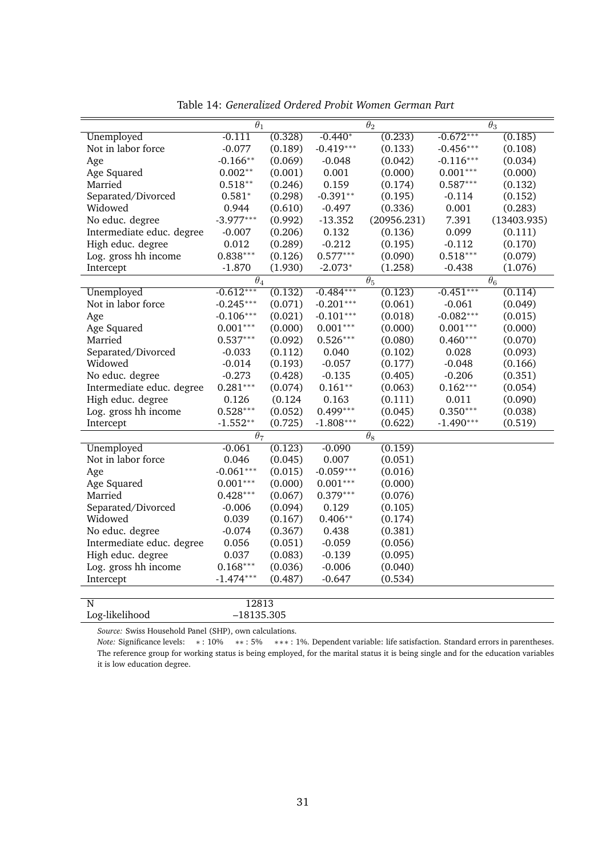|                           | $\theta_1$            |         |             | $\theta_2$            |             | $\overline{\theta_3}$ |
|---------------------------|-----------------------|---------|-------------|-----------------------|-------------|-----------------------|
| Unemployed                | $-0.111$              | (0.328) | $-0.440*$   | (0.233)               | $-0.672***$ | (0.185)               |
| Not in labor force        | $-0.077$              | (0.189) | $-0.419***$ | (0.133)               | $-0.456***$ | (0.108)               |
| Age                       | $-0.166**$            | (0.069) | $-0.048$    | (0.042)               | $-0.116***$ | (0.034)               |
| Age Squared               | $0.002**$             | (0.001) | 0.001       | (0.000)               | $0.001***$  | (0.000)               |
| Married                   | $0.518**$             | (0.246) | 0.159       | (0.174)               | $0.587***$  | (0.132)               |
| Separated/Divorced        | $0.581*$              | (0.298) | $-0.391**$  | (0.195)               | $-0.114$    | (0.152)               |
| Widowed                   | 0.944                 | (0.610) | $-0.497$    | (0.336)               | 0.001       | (0.283)               |
| No educ. degree           | $-3.977***$           | (0.992) | $-13.352$   | (20956.231)           | 7.391       | (13403.935)           |
| Intermediate educ. degree | $-0.007$              | (0.206) | 0.132       | (0.136)               | 0.099       | (0.111)               |
| High educ. degree         | 0.012                 | (0.289) | $-0.212$    | (0.195)               | $-0.112$    | (0.170)               |
| Log. gross hh income      | $0.838***$            | (0.126) | $0.577***$  | (0.090)               | $0.518***$  | (0.079)               |
| Intercept                 | $-1.870$              | (1.930) | $-2.073*$   | (1.258)               | $-0.438$    | (1.076)               |
|                           | $\overline{\theta_4}$ |         |             | $\overline{\theta_5}$ |             | $\overline{\theta_6}$ |
| Unemployed                | $-0.612***$           | (0.132) | $-0.484***$ | (0.123)               | $-0.451***$ | (0.114)               |
| Not in labor force        | $-0.245***$           | (0.071) | $-0.201***$ | (0.061)               | $-0.061$    | (0.049)               |
| Age                       | $-0.106***$           | (0.021) | $-0.101***$ | (0.018)               | $-0.082***$ | (0.015)               |
| Age Squared               | $0.001***$            | (0.000) | $0.001***$  | (0.000)               | $0.001***$  | (0.000)               |
| Married                   | $0.537***$            | (0.092) | $0.526***$  | (0.080)               | $0.460***$  | (0.070)               |
| Separated/Divorced        | $-0.033$              | (0.112) | 0.040       | (0.102)               | 0.028       | (0.093)               |
| Widowed                   | $-0.014$              | (0.193) | $-0.057$    | (0.177)               | $-0.048$    | (0.166)               |
| No educ. degree           | $-0.273$              | (0.428) | $-0.135$    | (0.405)               | $-0.206$    | (0.351)               |
| Intermediate educ. degree | $0.281***$            | (0.074) | $0.161**$   | (0.063)               | $0.162***$  | (0.054)               |
| High educ. degree         | 0.126                 | (0.124) | 0.163       | (0.111)               | 0.011       | (0.090)               |
| Log. gross hh income      | $0.528***$            | (0.052) | $0.499***$  | (0.045)               | $0.350***$  | (0.038)               |
| Intercept                 | $-1.552**$            | (0.725) | $-1.808***$ | (0.622)               | $-1.490***$ | (0.519)               |
|                           | $\theta_7$            |         |             | $\theta_8$            |             |                       |
| Unemployed                | $-0.061$              | (0.123) | $-0.090$    | (0.159)               |             |                       |
| Not in labor force        | 0.046                 | (0.045) | 0.007       | (0.051)               |             |                       |
| Age                       | $-0.061***$           | (0.015) | $-0.059***$ | (0.016)               |             |                       |
| Age Squared               | $0.001***$            | (0.000) | $0.001***$  | (0.000)               |             |                       |
| Married                   | $0.428***$            | (0.067) | $0.379***$  | (0.076)               |             |                       |
| Separated/Divorced        | $-0.006$              | (0.094) | 0.129       | (0.105)               |             |                       |
| Widowed                   | 0.039                 | (0.167) | $0.406**$   | (0.174)               |             |                       |
| No educ. degree           | $-0.074$              | (0.367) | 0.438       | (0.381)               |             |                       |
| Intermediate educ. degree | 0.056                 | (0.051) | $-0.059$    | (0.056)               |             |                       |
| High educ. degree         | 0.037                 | (0.083) | $-0.139$    | (0.095)               |             |                       |
| Log. gross hh income      | $0.168***$            | (0.036) | $-0.006$    | (0.040)               |             |                       |
| Intercept                 | $-1.474***$           | (0.487) | $-0.647$    | (0.534)               |             |                       |
|                           |                       |         |             |                       |             |                       |
| N                         | 12813                 |         |             |                       |             |                       |
| Log-likelihood            | $-18135.305$          |         |             |                       |             |                       |

Table 14: *Generalized Ordered Probit Women German Part*

*Note:* Significance levels: \*: 10% \*\*: 5% \*\*\*: 1%. Dependent variable: life satisfaction. Standard errors in parentheses. The reference group for working status is being employed, for the marital status it is being single and for the education variables it is low education degree.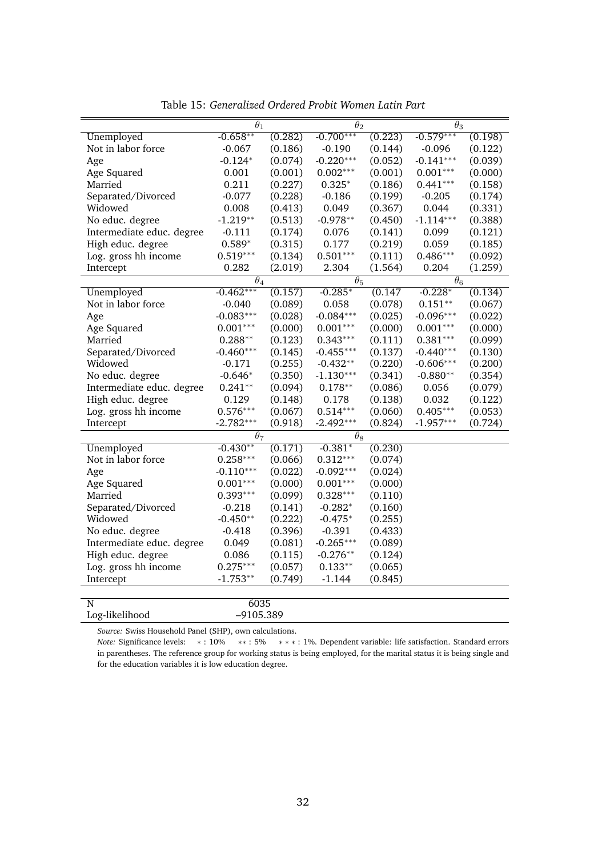|                           | $\theta_1$  |         | $\theta_2$      |         | $\theta_3$            |         |
|---------------------------|-------------|---------|-----------------|---------|-----------------------|---------|
| Unemployed                | $-0.658**$  | (0.282) | $-0.700***$     | (0.223) | $-0.579***$           | (0.198) |
| Not in labor force        | $-0.067$    | (0.186) | $-0.190$        | (0.144) | $-0.096$              | (0.122) |
| Age                       | $-0.124*$   | (0.074) | $-0.220***$     | (0.052) | $-0.141***$           | (0.039) |
| Age Squared               | 0.001       | (0.001) | $0.002***$      | (0.001) | $0.001^{***}\,$       | (0.000) |
| Married                   | 0.211       | (0.227) | $0.325*$        | (0.186) | $0.441***$            | (0.158) |
| Separated/Divorced        | $-0.077$    | (0.228) | $-0.186$        | (0.199) | $-0.205$              | (0.174) |
| Widowed                   | 0.008       | (0.413) | 0.049           | (0.367) | 0.044                 | (0.331) |
| No educ. degree           | $-1.219**$  | (0.513) | $-0.978**$      | (0.450) | $-1.114***$           | (0.388) |
| Intermediate educ. degree | $-0.111$    | (0.174) | 0.076           | (0.141) | 0.099                 | (0.121) |
| High educ. degree         | $0.589*$    | (0.315) | 0.177           | (0.219) | 0.059                 | (0.185) |
| Log. gross hh income      | $0.519***$  | (0.134) | $0.501***$      | (0.111) | $0.486***$            | (0.092) |
| Intercept                 | 0.282       | (2.019) | 2.304           | (1.564) | 0.204                 | (1.259) |
|                           | $\theta_4$  |         | $\theta_5$      |         | $\overline{\theta}_6$ |         |
| Unemployed                | $-0.462***$ | (0.157) | $-0.285*$       | (0.147) | $-0.228*$             | (0.134) |
| Not in labor force        | $-0.040$    | (0.089) | 0.058           | (0.078) | $0.151**$             | (0.067) |
| Age                       | $-0.083***$ | (0.028) | $-0.084***$     | (0.025) | $-0.096***$           | (0.022) |
| Age Squared               | $0.001***$  | (0.000) | $0.001^{***}\,$ | (0.000) | $0.001^{***}\,$       | (0.000) |
| Married                   | $0.288**$   | (0.123) | $0.343***$      | (0.111) | $0.381***$            | (0.099) |
| Separated/Divorced        | $-0.460***$ | (0.145) | $-0.455***$     | (0.137) | $-0.440***$           | (0.130) |
| Widowed                   | $-0.171$    | (0.255) | $-0.432**$      | (0.220) | $-0.606***$           | (0.200) |
| No educ. degree           | $-0.646*$   | (0.350) | $-1.130***$     | (0.341) | $-0.880**$            | (0.354) |
| Intermediate educ. degree | $0.241**$   | (0.094) | $0.178**$       | (0.086) | 0.056                 | (0.079) |
| High educ. degree         | 0.129       | (0.148) | 0.178           | (0.138) | 0.032                 | (0.122) |
| Log. gross hh income      | $0.576***$  | (0.067) | $0.514***$      | (0.060) | $0.405***$            | (0.053) |
| Intercept                 | $-2.782***$ | (0.918) | $-2.492***$     | (0.824) | $-1.957***$           | (0.724) |
|                           | $\theta_7$  |         | $\theta_8$      |         |                       |         |
| Unemployed                | $-0.430**$  | (0.171) | $-0.381*$       | (0.230) |                       |         |
| Not in labor force        | $0.258***$  | (0.066) | $0.312***$      | (0.074) |                       |         |
| Age                       | $-0.110***$ | (0.022) | $-0.092***$     | (0.024) |                       |         |
| Age Squared               | $0.001***$  | (0.000) | $0.001***$      | (0.000) |                       |         |
| Married                   | $0.393***$  | (0.099) | $0.328***$      | (0.110) |                       |         |
| Separated/Divorced        | $-0.218$    | (0.141) | $-0.282*$       | (0.160) |                       |         |
| Widowed                   | $-0.450**$  | (0.222) | $-0.475*$       | (0.255) |                       |         |
| No educ. degree           | $-0.418$    | (0.396) | $-0.391$        | (0.433) |                       |         |
| Intermediate educ. degree | 0.049       | (0.081) | $-0.265***$     | (0.089) |                       |         |
| High educ. degree         | 0.086       | (0.115) | $-0.276**$      | (0.124) |                       |         |
| Log. gross hh income      | $0.275***$  | (0.057) | $0.133**$       | (0.065) |                       |         |
| Intercept                 | $-1.753**$  | (0.749) | $-1.144$        | (0.845) |                       |         |
|                           |             |         |                 |         |                       |         |
| N                         | 6035        |         |                 |         |                       |         |
| Log-likelihood            | $-9105.389$ |         |                 |         |                       |         |

Table 15: *Generalized Ordered Probit Women Latin Part*

*Note:* Significance levels: \*: 10% \*\*: 5% \*\*\*: 1%. Dependent variable: life satisfaction. Standard errors in parentheses. The reference group for working status is being employed, for the marital status it is being single and for the education variables it is low education degree.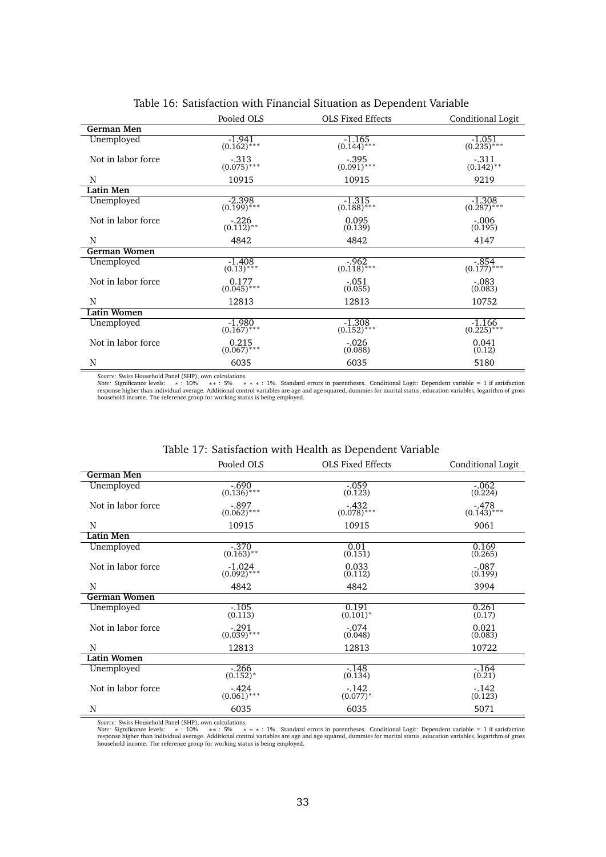|                    | Pooled OLS<br><b>OLS Fixed Effects</b><br>Conditional Logit |                           |                                |  |
|--------------------|-------------------------------------------------------------|---------------------------|--------------------------------|--|
| German Men         |                                                             |                           |                                |  |
| Unemployed         | $-1.941$<br>$(0.162)$ ***                                   | $-1.165$<br>$(0.144)$ *** | $\frac{-1.051}{(0.235)^{***}}$ |  |
| Not in labor force | $-.313$<br>$(0.075)$ ***                                    | $-.395$<br>$(0.091)$ ***  | $-.311$<br>$(0.142)$ **        |  |
| N                  | 10915                                                       | 10915                     | 9219                           |  |
| <b>Latin Men</b>   |                                                             |                           |                                |  |
| Unemployed         | $-2.398$<br>$(0.199)$ ***                                   | $-1.315$<br>$(0.188)$ *** | $-1.308$<br>$(0.287)$ ***      |  |
| Not in labor force | $-.226$<br>$(0.112)$ <sup>**</sup>                          | 0.095<br>(0.139)          | $-.006$<br>(0.195)             |  |
| N                  | 4842                                                        | 4842                      | 4147                           |  |
| German Women       |                                                             |                           |                                |  |
| Unemployed         | $-1.408$<br>$(0.13)$ ***                                    | $-0.962$<br>$(0.118)$ *** | $-.854$<br>$(0.177)$ ***       |  |
| Not in labor force | 0.177<br>$(0.045)$ ***                                      | $-.051$<br>(0.055)        | $-.083$<br>(0.083)             |  |
| N                  | 12813                                                       | 12813                     | 10752                          |  |
| <b>Latin Women</b> |                                                             |                           |                                |  |
| Unemployed         | $-1.980$<br>$(0.167)$ ***                                   | $-1.308$<br>$(0.152)$ *** | $-1.166$<br>$(0.225)$ ***      |  |
| Not in labor force | 0.215<br>$(0.067)$ ***                                      | $-.026$<br>(0.088)        | 0.041<br>(0.12)                |  |
| N                  | 6035                                                        | 6035                      | 5180                           |  |

### Table 16: Satisfaction with Financial Situation as Dependent Variable

Source: Swiss Household Panel (SHP), own calculations.<br>*Note: S*ignificance levels: → : 10% → \* : 5% → \* : 1%. Standard errors in parentheses. Conditional Logit: Dependent variable = 1 if satisfaction<br>response higher than

|                     | Pooled OLS                | <b>OLS Fixed Effects</b>           | Conditional Logit        |
|---------------------|---------------------------|------------------------------------|--------------------------|
| <b>German Men</b>   |                           |                                    |                          |
| Unemployed          | $-.690$<br>$(0.136)$ ***  | $-.059$<br>(0.123)                 | $-.062$<br>(0.224)       |
| Not in labor force  | $-.897$<br>$(0.062)$ ***  | $-432$<br>$(0.078)$ <sup>***</sup> | $-.478$<br>$(0.143)$ *** |
| N                   | 10915                     | 10915                              | 9061                     |
| <b>Latin Men</b>    |                           |                                    |                          |
| Unemployed          | $-.370$<br>$(0.163)$ **   | 0.01<br>(0.151)                    | 0.169<br>(0.265)         |
| Not in labor force  | $-1.024$<br>$(0.092)$ *** | 0.033<br>(0.112)                   | $-.087$<br>(0.199)       |
| N                   | 4842                      | 4842                               | 3994                     |
| <b>German Women</b> |                           |                                    |                          |
| Unemployed          | $-105$<br>(0.113)         | 0.191<br>$(0.101)^*$               | 0.261<br>(0.17)          |
| Not in labor force  | $-.291$<br>$(0.039)$ ***  | $-.074$<br>(0.048)                 | 0.021<br>(0.083)         |
| N                   | 12813                     | 12813                              | 10722                    |
| <b>Latin Women</b>  |                           |                                    |                          |
| Unemployed          | $-266$<br>$(0.152)^{*}$   | $-148$<br>(0.134)                  | $-164$<br>(0.21)         |
| Not in labor force  | $-0.424$<br>$(0.061)$ *** | $-142$<br>$(0.077)*$               | $-142$<br>(0.123)        |
| N                   | 6035                      | 6035                               | 5071                     |

### Table 17: Satisfaction with Health as Dependent Variable

*Source:* Swiss Household Panel (SHP), own calculations.

Note: Significance levels: \* : 10% \*\* : 5% \*\* \* : 1%. Standard errors in parentheses. Conditional Logit: Dependent variable = 1 if satisfaction<br>response higher than individual average. Additional control va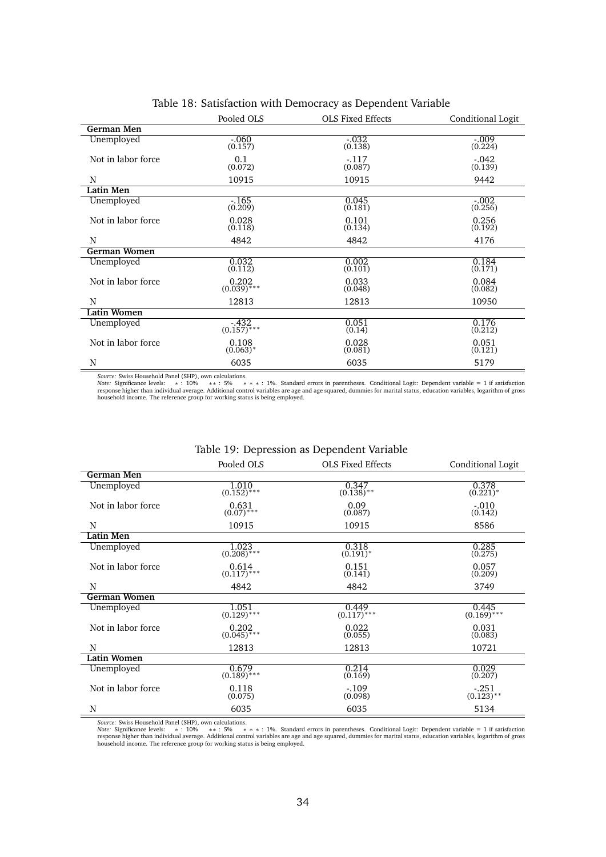|                     | Pooled OLS              | <b>OLS Fixed Effects</b> | Conditional Logit   |
|---------------------|-------------------------|--------------------------|---------------------|
| German Men          |                         |                          |                     |
| Unemployed          | $-.060$<br>(0.157)      | $-.032$<br>(0.138)       | $-.009$<br>(0.224)  |
| Not in labor force  | 0.1<br>(0.072)          | $-117$<br>(0.087)        | $-0.042$<br>(0.139) |
| N                   | 10915                   | 10915                    | 9442                |
| <b>Latin Men</b>    |                         |                          |                     |
| Unemployed          | $-165$<br>(0.209)       | 0.045<br>(0.181)         | $-.002$<br>(0.256)  |
| Not in labor force  | 0.028<br>(0.118)        | 0.101<br>(0.134)         | 0.256<br>(0.192)    |
| N                   | 4842                    | 4842                     | 4176                |
| <b>German Women</b> |                         |                          |                     |
| Unemployed          | 0.032<br>(0.112)        | 0.002<br>(0.101)         | 0.184<br>(0.171)    |
| Not in labor force  | 0.202<br>$(0.039)$ ***  | 0.033<br>(0.048)         | 0.084<br>(0.082)    |
| N                   | 12813                   | 12813                    | 10950               |
| <b>Latin Women</b>  |                         |                          |                     |
| Unemployed          | $-432$<br>$(0.157)$ *** | 0.051<br>(0.14)          | 0.176<br>(0.212)    |
| Not in labor force  | 0.108<br>$(0.063)^*$    | 0.028<br>(0.081)         | 0.051<br>(0.121)    |
| N                   | 6035                    | 6035                     | 5179                |

### Table 18: Satisfaction with Democracy as Dependent Variable

Source: Swiss Household Panel (SHP), own calculations.<br>*Note: S*ignificance levels: → : 10% → \* : 5% → \* : 1%. Standard errors in parentheses. Conditional Logit: Dependent variable = 1 if satisfaction<br>response higher than

### Table 19: Depression as Dependent Variable

|                     | Pooled OLS<br><b>OLS Fixed Effects</b> |                                  | Conditional Logit       |
|---------------------|----------------------------------------|----------------------------------|-------------------------|
| German Men          |                                        |                                  |                         |
| Unemployed          | 1.010<br>$(0.152)$ <sup>***</sup>      | 0.347<br>$(0.138)$ <sup>**</sup> | 0.378<br>$(0.221)^*$    |
| Not in labor force  | 0.631<br>$(0.07)$ ***                  | 0.09<br>(0.087)                  | $-.010$<br>(0.142)      |
| N                   | 10915                                  | 10915                            | 8586                    |
| Latin Men           |                                        |                                  |                         |
| Unemployed          | 1.023<br>$(0.208)$ ***                 | 0.318<br>$(0.191)^*$             | 0.285<br>(0.275)        |
| Not in labor force  | 0.614<br>$(0.117)$ ***                 | 0.151<br>(0.141)                 | 0.057<br>(0.209)        |
| N                   | 4842                                   | 4842                             | 3749                    |
| <b>German Women</b> |                                        |                                  |                         |
| Unemployed          | 1.051<br>$(0.129)$ ***                 | 0.449<br>$(0.117)$ ***           | 0.445<br>$(0.169)$ ***  |
| Not in labor force  | 0.202<br>$(0.045)$ ***                 | 0.022<br>(0.055)                 | 0.031<br>(0.083)        |
| N                   | 12813                                  | 12813                            | 10721                   |
| Latin Women         |                                        |                                  |                         |
| Unemployed          | $\frac{0.679}{(0.189)^{***}}$          | 0.214<br>(0.169)                 | 0.029<br>(0.207)        |
| Not in labor force  | 0.118<br>(0.075)                       | $-.109$<br>(0.098)               | $-.251$<br>$(0.123)$ ** |
| N                   | 6035                                   | 6035                             | 5134                    |

*Source:* Swiss Household Panel (SHP), own calculations.

Note: Significance levels: \* : 10% \*\* : 5% \*\* \* : 1%. Standard errors in parentheses. Conditional Logit: Dependent variable = 1 if satisfaction<br>response higher than individual average. Additional control va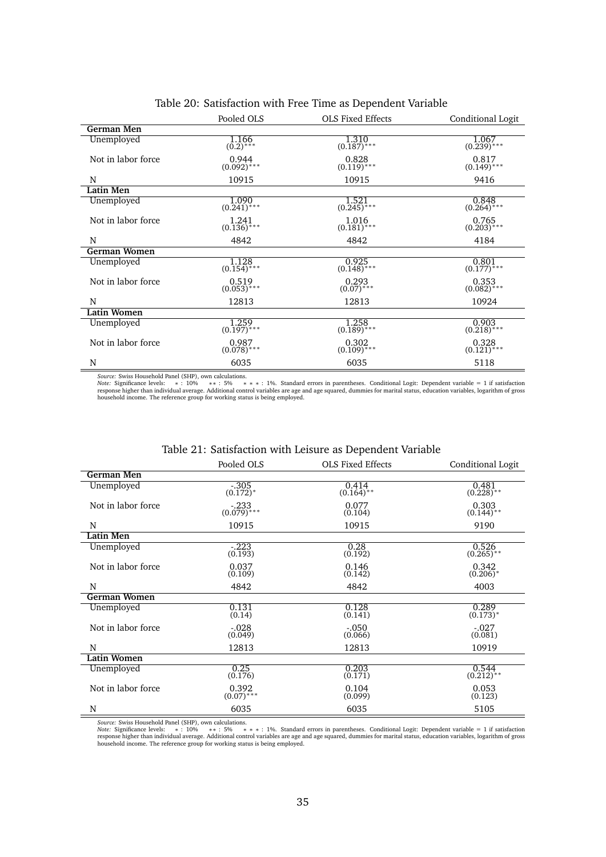|                     | Pooled OLS               | <b>OLS Fixed Effects</b><br>Conditional Logit |                               |  |  |
|---------------------|--------------------------|-----------------------------------------------|-------------------------------|--|--|
| German Men          |                          |                                               |                               |  |  |
| Unemployed          | $\frac{1.166}{(0.2)***}$ | $\frac{1.310}{(0.187)***}$                    | $\frac{1.067}{(0.239)^{***}}$ |  |  |
| Not in labor force  | 0.944<br>$(0.092)$ ***   | 0.828<br>$(0.119)$ <sup>***</sup>             | $0.817$<br>(0.149)***         |  |  |
| N                   | 10915                    | 10915                                         | 9416                          |  |  |
| <b>Latin Men</b>    |                          |                                               |                               |  |  |
| Unemployed          | 1.090<br>$(0.241)$ ***   | 1.521<br>$(0.245)$ ***                        | 0.848<br>$(0.264)$ ***        |  |  |
| Not in labor force  | 1.241<br>$(0.136)$ ***   | 1.016<br>$(0.181)$ <sup>***</sup>             | 0.765<br>$(0.203)$ ***        |  |  |
| N                   | 4842                     | 4842                                          | 4184                          |  |  |
| <b>German Women</b> |                          |                                               |                               |  |  |
| Unemployed          | 1.128<br>$(0.154)$ ***   | 0.925<br>$(0.148)$ ***                        | 0.801<br>$(0.177)$ ***        |  |  |
| Not in labor force  | 0.519<br>$(0.053)$ ***   | 0.293<br>$(0.07)^{***}$                       | 0.353<br>$(0.082)$ ***        |  |  |
| N                   | 12813                    | 12813                                         | 10924                         |  |  |
| <b>Latin Women</b>  |                          |                                               |                               |  |  |
| Unemployed          | 1.259<br>$(0.197)$ ***   | 1.258<br>$(0.189)$ ***                        | 0.903<br>$(0.218)$ ***        |  |  |
| Not in labor force  | 0.987<br>$(0.078)$ ***   | 0.302<br>$(0.109)$ <sup>***</sup>             | 0.328<br>$(0.121)$ ***        |  |  |
| N                   | 6035                     | 6035                                          | 5118                          |  |  |

### Table 20: Satisfaction with Free Time as Dependent Variable

Source: Swiss Household Panel (SHP), own calculations.<br>*Note: S*ignificance levels: → : 10% → \* : 5% → \* : 1%. Standard errors in parentheses. Conditional Logit: Dependent variable = 1 if satisfaction<br>response higher than

### Table 21: Satisfaction with Leisure as Dependent Variable

|                    | Pooled OLS              | <b>OLS Fixed Effects</b>         | Conditional Logit                |
|--------------------|-------------------------|----------------------------------|----------------------------------|
| German Men         |                         |                                  |                                  |
| Unemployed         | $-.305$<br>$(0.172)^*$  | 0.414<br>$(0.164)$ <sup>**</sup> | 0.481<br>$(0.228)$ **            |
| Not in labor force | $-233$<br>$(0.079)$ *** | 0.077<br>(0.104)                 | 0.303<br>$(0.144)$ **            |
| N                  | 10915                   | 10915                            | 9190                             |
| Latin Men          |                         |                                  |                                  |
| Unemployed         | $-.223$<br>(0.193)      | 0.28<br>(0.192)                  | 0.526<br>$(0.265)$ **            |
| Not in labor force | 0.037<br>(0.109)        | 0.146<br>(0.142)                 | 0.342<br>$(0.206)*$              |
| N                  | 4842                    | 4842                             | 4003                             |
| German Women       |                         |                                  |                                  |
| Unemployed         | 0.131<br>(0.14)         | 0.128<br>(0.141)                 | 0.289<br>$(0.173)^{*}$           |
| Not in labor force | $-0.028$<br>(0.049)     | $-.050$<br>(0.066)               | $-0.027$<br>(0.081)              |
| N                  | 12813                   | 12813                            | 10919                            |
| <b>Latin Women</b> |                         |                                  |                                  |
| Unemployed         | 0.25<br>(0.176)         | 0.203<br>(0.171)                 | 0.544<br>$(0.212)$ <sup>**</sup> |
| Not in labor force | 0.392<br>$(0.07)$ ***   | 0.104<br>(0.099)                 | 0.053<br>(0.123)                 |
| N                  | 6035                    | 6035                             | 5105                             |

*Source:* Swiss Household Panel (SHP), own calculations.

Note: Significance levels: \* : 10% \*\* : 5% \*\* \* : 1%. Standard errors in parentheses. Conditional Logit: Dependent variable = 1 if satisfaction<br>response higher than individual average. Additional control va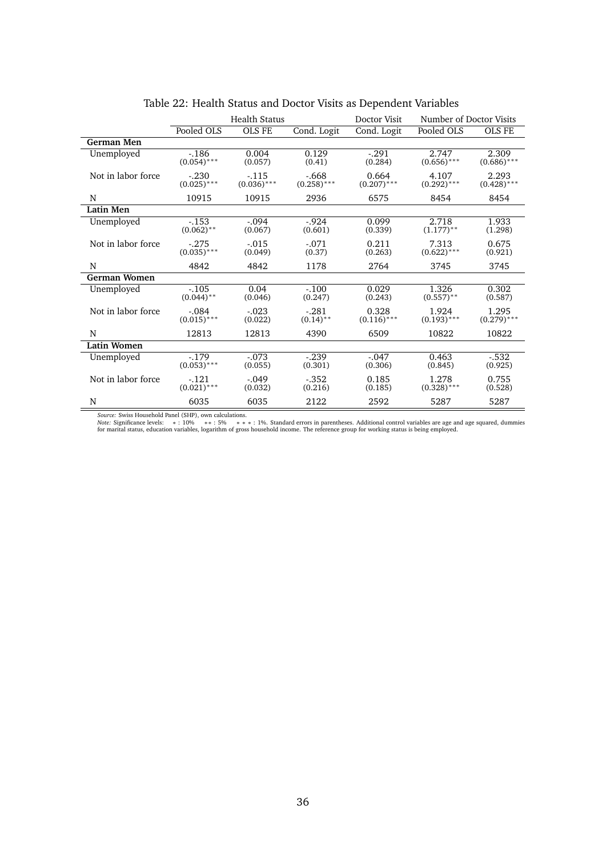|                     |                          | <b>Health Status</b>    |                         | Doctor Visit           | Number of Doctor Visits |                        |
|---------------------|--------------------------|-------------------------|-------------------------|------------------------|-------------------------|------------------------|
|                     | Pooled OLS               | <b>OLS FE</b>           | Cond. Logit             | Cond. Logit            | Pooled OLS              | <b>OLS FE</b>          |
| <b>German Men</b>   |                          |                         |                         |                        |                         |                        |
| Unemployed          | $-186$<br>$(0.054)$ ***  | 0.004<br>(0.057)        | 0.129<br>(0.41)         | $-.291$<br>(0.284)     | 2.747<br>$(0.656)$ ***  | 2.309<br>$(0.686)$ *** |
| Not in labor force  | $-.230$<br>$(0.025)$ *** | $-115$<br>$(0.036)$ *** | $-668$<br>$(0.258)$ *** | 0.664<br>$(0.207)$ *** | 4.107<br>$(0.292)$ ***  | 2.293<br>$(0.428)$ *** |
| N                   | 10915                    | 10915                   | 2936                    | 6575                   | 8454                    | 8454                   |
| <b>Latin Men</b>    |                          |                         |                         |                        |                         |                        |
| Unemployed          | $-153$<br>$(0.062)$ **   | $-.094$<br>(0.067)      | $-0.924$<br>(0.601)     | 0.099<br>(0.339)       | 2.718<br>$(1.177)$ **   | 1.933<br>(1.298)       |
| Not in labor force  | $-.275$<br>$(0.035)$ *** | $-.015$<br>(0.049)      | $-.071$<br>(0.37)       | 0.211<br>(0.263)       | 7.313<br>$(0.622)$ ***  | 0.675<br>(0.921)       |
| N                   | 4842                     | 4842                    | 1178                    | 2764                   | 3745                    | 3745                   |
| <b>German Women</b> |                          |                         |                         |                        |                         |                        |
| Unemployed          | $-.105$<br>$(0.044)$ **  | 0.04<br>(0.046)         | $-.100$<br>(0.247)      | 0.029<br>(0.243)       | 1.326<br>$(0.557)$ **   | 0.302<br>(0.587)       |
| Not in labor force  | $-.084$<br>$(0.015)$ *** | $-.023$<br>(0.022)      | $-.281$<br>$(0.14)$ **  | 0.328<br>$(0.116)$ *** | 1.924<br>$(0.193)$ ***  | 1.295<br>$(0.279)$ *** |
| N                   | 12813                    | 12813                   | 4390                    | 6509                   | 10822                   | 10822                  |
| <b>Latin Women</b>  |                          |                         |                         |                        |                         |                        |
| Unemployed          | $-179$<br>$(0.053)$ ***  | $-.073$<br>(0.055)      | $-239$<br>(0.301)       | $-.047$<br>(0.306)     | 0.463<br>(0.845)        | $-.532$<br>(0.925)     |
| Not in labor force  | $-121$<br>$(0.021)$ ***  | $-.049$<br>(0.032)      | $-.352$<br>(0.216)      | 0.185<br>(0.185)       | 1.278<br>$(0.328)$ ***  | 0.755<br>(0.528)       |
| N                   | 6035                     | 6035                    | 2122                    | 2592                   | 5287                    | 5287                   |

# Table 22: Health Status and Doctor Visits as Dependent Variables

Source: Swiss Household Panel (SHP), own calculations.<br>Note: Significance levels: \* : 10% \*\* : 5% \* \* \* : 1%. Standard errors in parentheses. Additional control variables are age and age squared, dummies<br>for marital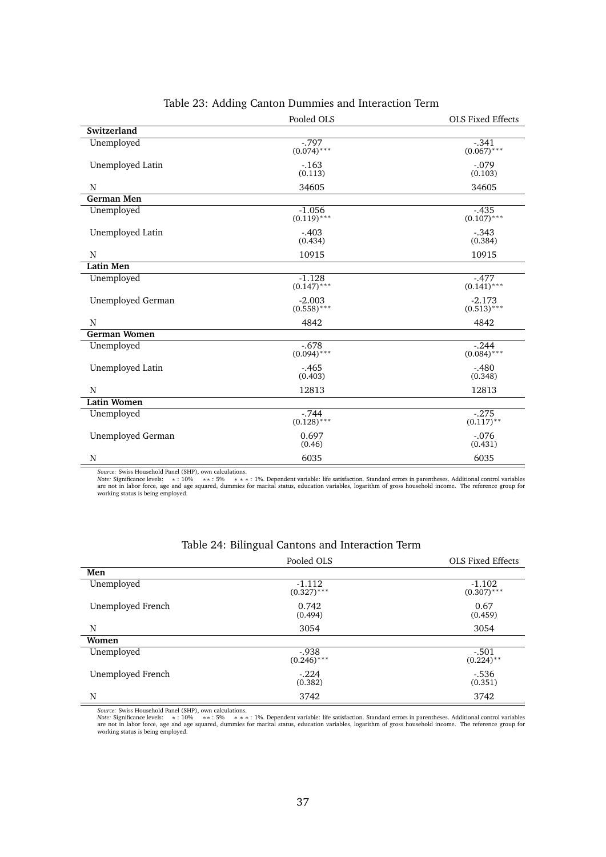|                     | Pooled OLS                | <b>OLS Fixed Effects</b>  |
|---------------------|---------------------------|---------------------------|
| Switzerland         |                           |                           |
| Unemployed          | $-0.797$<br>$(0.074)$ *** | $-.341$<br>$(0.067)$ ***  |
| Unemployed Latin    | $-163$<br>(0.113)         | $-.079$<br>(0.103)        |
| N                   | 34605                     | 34605                     |
| <b>German Men</b>   |                           |                           |
| Unemployed          | $-1.056$<br>$(0.119)$ *** | $-0.435$<br>$(0.107)$ *** |
| Unemployed Latin    | $-.403$<br>(0.434)        | $-.343$<br>(0.384)        |
| N                   | 10915                     | 10915                     |
| <b>Latin Men</b>    |                           |                           |
| Unemployed          | $-1.128$<br>$(0.147)$ *** | $-.477$<br>$(0.141)$ ***  |
| Unemployed German   | $-2.003$<br>$(0.558)$ *** | $-2.173$<br>$(0.513)$ *** |
| N                   | 4842                      | 4842                      |
| <b>German Women</b> |                           |                           |
| Unemployed          | $-.678$<br>$(0.094)$ ***  | $-.244$<br>$(0.084)$ ***  |
| Unemployed Latin    | $-0.465$<br>(0.403)       | $-.480$<br>(0.348)        |
| N                   | 12813                     | 12813                     |
| <b>Latin Women</b>  |                           |                           |
| Unemployed          | $-744$<br>$(0.128)$ ***   | $-275$<br>$(0.117)$ **    |
| Unemployed German   | 0.697<br>(0.46)           | $-.076$<br>(0.431)        |
| N                   | 6035                      | 6035                      |

### Table 23: Adding Canton Dummies and Interaction Term

Source: Swiss Household Panel (SHP), own calculations.<br>Mote: Significance levels: \* : 10% \* \* : 5% \* \* \* : 1%. Dependent variable: life satisfaction. Standard errors in parentheses. Additional control variables

|                   | Pooled OLS                | <b>OLS Fixed Effects</b>  |
|-------------------|---------------------------|---------------------------|
| Men               |                           |                           |
| Unemployed        | $-1.112$<br>$(0.327)$ *** | $-1.102$<br>$(0.307)$ *** |
| Unemployed French | 0.742<br>(0.494)          | 0.67<br>(0.459)           |
| N                 | 3054                      | 3054                      |
| Women             |                           |                           |
| Unemployed        | $-0.938$<br>$(0.246)$ *** | $-.501$<br>$(0.224)$ **   |
| Unemployed French | $-.224$<br>(0.382)        | $-.536$<br>(0.351)        |
| N                 | 3742                      | 3742                      |

### Table 24: Bilingual Cantons and Interaction Term

*Source: S*wiss Household Panel (SHP), own calculations.<br>*Note: S*ignificance levels: \* : 10% \*\* : 5% \*\*\* : 1%. Dependent variable: life satisfaction. Standard errors in parentheses. Additional control variables<br>are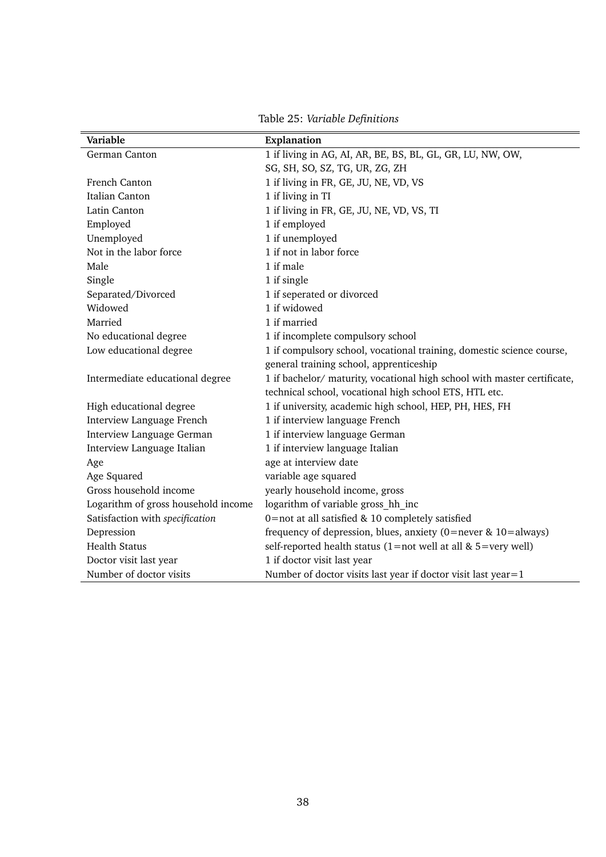| Variable                            | Explanation                                                              |  |
|-------------------------------------|--------------------------------------------------------------------------|--|
| German Canton                       | 1 if living in AG, AI, AR, BE, BS, BL, GL, GR, LU, NW, OW,               |  |
|                                     | SG, SH, SO, SZ, TG, UR, ZG, ZH                                           |  |
| French Canton                       | 1 if living in FR, GE, JU, NE, VD, VS                                    |  |
| Italian Canton                      | 1 if living in TI                                                        |  |
| Latin Canton                        | 1 if living in FR, GE, JU, NE, VD, VS, TI                                |  |
| Employed                            | 1 if employed                                                            |  |
| Unemployed                          | 1 if unemployed                                                          |  |
| Not in the labor force              | 1 if not in labor force                                                  |  |
| Male                                | 1 if male                                                                |  |
| Single                              | 1 if single                                                              |  |
| Separated/Divorced                  | 1 if seperated or divorced                                               |  |
| Widowed                             | 1 if widowed                                                             |  |
| Married                             | 1 if married                                                             |  |
| No educational degree               | 1 if incomplete compulsory school                                        |  |
| Low educational degree              | 1 if compulsory school, vocational training, domestic science course,    |  |
|                                     | general training school, apprenticeship                                  |  |
| Intermediate educational degree     | 1 if bachelor/ maturity, vocational high school with master certificate, |  |
|                                     | technical school, vocational high school ETS, HTL etc.                   |  |
| High educational degree             | 1 if university, academic high school, HEP, PH, HES, FH                  |  |
| Interview Language French           | 1 if interview language French                                           |  |
| Interview Language German           | 1 if interview language German                                           |  |
| Interview Language Italian          | 1 if interview language Italian                                          |  |
| Age                                 | age at interview date                                                    |  |
| Age Squared                         | variable age squared                                                     |  |
| Gross household income              | yearly household income, gross                                           |  |
| Logarithm of gross household income | logarithm of variable gross hh inc                                       |  |
| Satisfaction with specification     | 0=not at all satisfied & 10 completely satisfied                         |  |
| Depression                          | frequency of depression, blues, anxiety ( $0$ =never & $10$ =always)     |  |
| <b>Health Status</b>                | self-reported health status $(1=not$ well at all & 5=very well)          |  |
| Doctor visit last year              | 1 if doctor visit last year                                              |  |
| Number of doctor visits             | Number of doctor visits last year if doctor visit last year=1            |  |

Table 25: *Variable Definitions*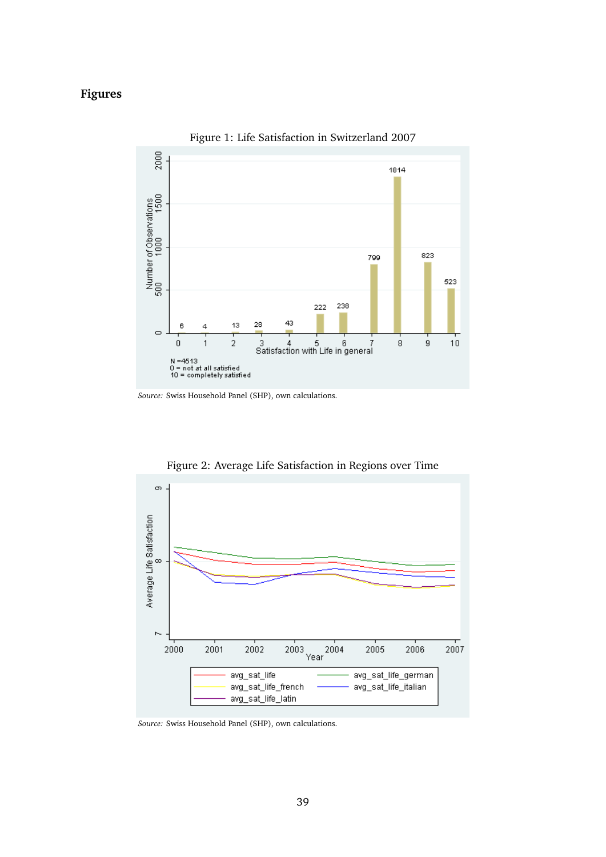# **Figures**



Figure 1: Life Satisfaction in Switzerland 2007



Figure 2: Average Life Satisfaction in Regions over Time

*Source:* Swiss Household Panel (SHP), own calculations.

*Source:* Swiss Household Panel (SHP), own calculations.